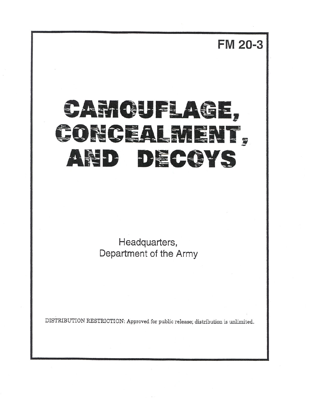## **FM 20-3**

# 马公计 6月月46日, CORCEALENT, AND DECOYS

Headquarters, Department of the Army

DISTRIBUTION RESTRICTION: Approved for public release; distribution is unlimited.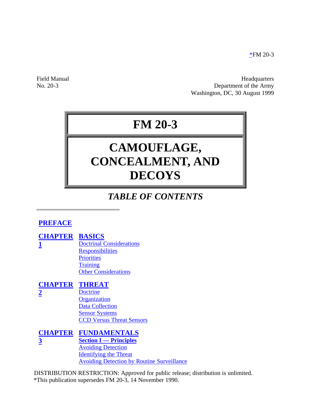\*FM 20-3

Field Manual No. 20-3

**Headquarters** Department of the Army Washington, DC, 30 August 1999

## **FM 20-3**

## **CAMOUFLAGE, CONCEALMENT, AND DECOYS**

## *TABLE OF CONTENTS*

## **PREFACE**

**1**

#### **CHAPTER BASICS**

Doctrinal Considerations **Responsibilities Priorities Training** Other Considerations

## **CHAPTER THREAT 2**

- **Doctrine Organization** Data Collection Sensor Systems CCD Versus Threat Sensors
- **CHAPTER FUNDAMENTALS 3 Section I — Principles** Avoiding Detection Identifying the Threat Avoiding Detection by Routine Surveillance

DISTRIBUTION RESTRICTION: Approved for public release; distribution is unlimited. \*This publication supersedes FM 20-3, 14 November 1990.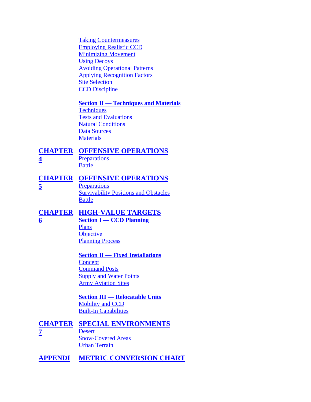Taking Countermeasures Employing Realistic CCD Minimizing Movement Using Decoys Avoiding Operational Patterns Applying Recognition Factors Site Selection CCD Discipline

## **Section II — Techniques and Materials**

**Techniques** Tests and Evaluations Natural Conditions Data Sources **Materials** 

## **CHAPTER OFFENSIVE OPERATIONS**

**4**

**Preparations** Battle

## **CHAPTER OFFENSIVE OPERATIONS**

**Preparations** Survivability Positions and Obstacles Battle

#### **CHAPTER HIGH-VALUE TARGETS**

**6**

**7**

**5**

## **Section I — CCD Planning** Plans **Objective**

Planning Process

## **Section II — Fixed Installations**

**Concept** Command Posts Supply and Water Points Army Aviation Sites

#### **Section III — Relocatable Units** Mobility and CCD

Built-In Capabilities

#### **CHAPTER SPECIAL ENVIRONMENTS**

**Desert** Snow-Covered Areas

Urban Terrain

## **APPENDI METRIC CONVERSION CHART**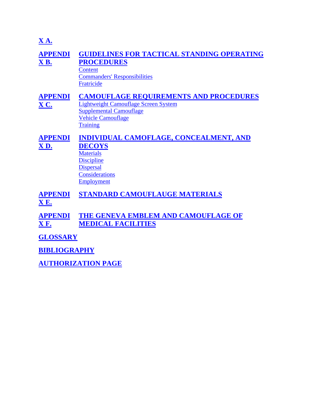## **X A.**

## **APPENDI X B. GUIDELINES FOR TACTICAL STANDING OPERATING PROCEDURES Content** Commanders' Responsibilities Fratricide

**APPENDI X C. CAMOUFLAGE REQUIREMENTS AND PROCEDURES** Lightweight Camouflage Screen System Supplemental Camouflage Vehicle Camouflage **Training** 

#### **APPENDI X D. INDIVIDUAL CAMOFLAGE, CONCEALMENT, AND DECOYS Materials Discipline Dispersal**

**Considerations** 

**Employment** 

#### **APPENDI STANDARD CAMOUFLAUGE MATERIALS**

**X E.**

#### **APPENDI X F. THE GENEVA EMBLEM AND CAMOUFLAGE OF MEDICAL FACILITIES**

**GLOSSARY**

**BIBLIOGRAPHY**

**AUTHORIZATION PAGE**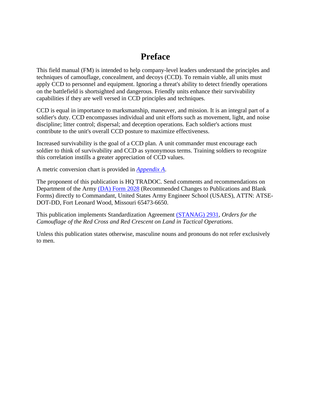## **Preface**

This field manual (FM) is intended to help company-level leaders understand the principles and techniques of camouflage, concealment, and decoys (CCD). To remain viable, all units must apply CCD to personnel and equipment. Ignoring a threat's ability to detect friendly operations on the battlefield is shortsighted and dangerous. Friendly units enhance their survivability capabilities if they are well versed in CCD principles and techniques.

CCD is equal in importance to marksmanship, maneuver, and mission. It is an integral part of a soldier's duty. CCD encompasses individual and unit efforts such as movement, light, and noise discipline; litter control; dispersal; and deception operations. Each soldier's actions must contribute to the unit's overall CCD posture to maximize effectiveness.

Increased survivability is the goal of a CCD plan. A unit commander must encourage each soldier to think of survivability and CCD as synonymous terms. Training soldiers to recognize this correlation instills a greater appreciation of CCD values.

A metric conversion chart is provided in *Appendix A*.

The proponent of this publication is HQ TRADOC. Send comments and recommendations on Department of the Army (DA) Form 2028 (Recommended Changes to Publications and Blank Forms) directly to Commandant, United States Army Engineer School (USAES), ATTN: ATSE-DOT-DD, Fort Leonard Wood, Missouri 65473-6650.

This publication implements Standardization Agreement (STANAG) 2931, *Orders for the Camouflage of the Red Cross and Red Crescent on Land in Tactical Operations*.

Unless this publication states otherwise, masculine nouns and pronouns do not refer exclusively to men.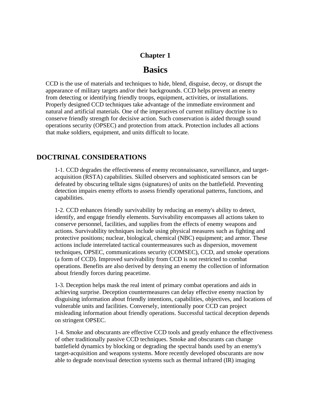## **Chapter 1**

## **Basics**

CCD is the use of materials and techniques to hide, blend, disguise, decoy, or disrupt the appearance of military targets and/or their backgrounds. CCD helps prevent an enemy from detecting or identifying friendly troops, equipment, activities, or installations. Properly designed CCD techniques take advantage of the immediate environment and natural and artificial materials. One of the imperatives of current military doctrine is to conserve friendly strength for decisive action. Such conservation is aided through sound operations security (OPSEC) and protection from attack. Protection includes all actions that make soldiers, equipment, and units difficult to locate.

## **DOCTRINAL CONSIDERATIONS**

1-1. CCD degrades the effectiveness of enemy reconnaissance, surveillance, and targetacquisition (RSTA) capabilities. Skilled observers and sophisticated sensors can be defeated by obscuring telltale signs (signatures) of units on the battlefield. Preventing detection impairs enemy efforts to assess friendly operational patterns, functions, and capabilities.

1-2. CCD enhances friendly survivability by reducing an enemy's ability to detect, identify, and engage friendly elements. Survivability encompasses all actions taken to conserve personnel, facilities, and supplies from the effects of enemy weapons and actions. Survivability techniques include using physical measures such as fighting and protective positions; nuclear, biological, chemical (NBC) equipment; and armor. These actions include interrelated tactical countermeasures such as dispersion, movement techniques, OPSEC, communications security (COMSEC), CCD, and smoke operations (a form of CCD). Improved survivability from CCD is not restricted to combat operations. Benefits are also derived by denying an enemy the collection of information about friendly forces during peacetime.

1-3. Deception helps mask the real intent of primary combat operations and aids in achieving surprise. Deception countermeasures can delay effective enemy reaction by disguising information about friendly intentions, capabilities, objectives, and locations of vulnerable units and facilities. Conversely, intentionally poor CCD can project misleading information about friendly operations. Successful tactical deception depends on stringent OPSEC.

1-4. Smoke and obscurants are effective CCD tools and greatly enhance the effectiveness of other traditionally passive CCD techniques. Smoke and obscurants can change battlefield dynamics by blocking or degrading the spectral bands used by an enemy's target-acquisition and weapons systems. More recently developed obscurants are now able to degrade nonvisual detection systems such as thermal infrared (IR) imaging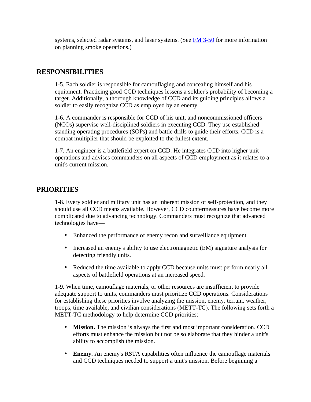systems, selected radar systems, and laser systems. (See FM 3-50 for more information on planning smoke operations.)

## **RESPONSIBILITIES**

1-5. Each soldier is responsible for camouflaging and concealing himself and his equipment. Practicing good CCD techniques lessens a soldier's probability of becoming a target. Additionally, a thorough knowledge of CCD and its guiding principles allows a soldier to easily recognize CCD as employed by an enemy.

1-6. A commander is responsible for CCD of his unit, and noncommissioned officers (NCOs) supervise well-disciplined soldiers in executing CCD. They use established standing operating procedures (SOPs) and battle drills to guide their efforts. CCD is a combat multiplier that should be exploited to the fullest extent.

1-7. An engineer is a battlefield expert on CCD. He integrates CCD into higher unit operations and advises commanders on all aspects of CCD employment as it relates to a unit's current mission.

## **PRIORITIES**

1-8. Every soldier and military unit has an inherent mission of self-protection, and they should use all CCD means available. However, CCD countermeasures have become more complicated due to advancing technology. Commanders must recognize that advanced technologies have—

- Enhanced the performance of enemy recon and surveillance equipment.
- Increased an enemy's ability to use electromagnetic (EM) signature analysis for detecting friendly units.
- Reduced the time available to apply CCD because units must perform nearly all aspects of battlefield operations at an increased speed.

1-9. When time, camouflage materials, or other resources are insufficient to provide adequate support to units, commanders must prioritize CCD operations. Considerations for establishing these priorities involve analyzing the mission, enemy, terrain, weather, troops, time available, and civilian considerations (METT-TC). The following sets forth a METT-TC methodology to help determine CCD priorities:

- **Mission.** The mission is always the first and most important consideration. CCD efforts must enhance the mission but not be so elaborate that they hinder a unit's ability to accomplish the mission.
- **Enemy.** An enemy's RSTA capabilities often influence the camouflage materials and CCD techniques needed to support a unit's mission. Before beginning a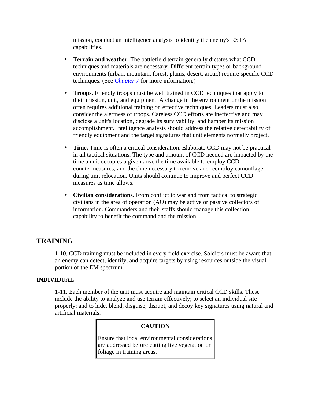mission, conduct an intelligence analysis to identify the enemy's RSTA capabilities.

- **Terrain and weather.** The battlefield terrain generally dictates what CCD techniques and materials are necessary. Different terrain types or background environments (urban, mountain, forest, plains, desert, arctic) require specific CCD techniques. (See *Chapter 7* for more information.)
- **Troops.** Friendly troops must be well trained in CCD techniques that apply to their mission, unit, and equipment. A change in the environment or the mission often requires additional training on effective techniques. Leaders must also consider the alertness of troops. Careless CCD efforts are ineffective and may disclose a unit's location, degrade its survivability, and hamper its mission accomplishment. Intelligence analysis should address the relative detectability of friendly equipment and the target signatures that unit elements normally project.
- **Time.** Time is often a critical consideration. Elaborate CCD may not be practical in all tactical situations. The type and amount of CCD needed are impacted by the time a unit occupies a given area, the time available to employ CCD countermeasures, and the time necessary to remove and reemploy camouflage during unit relocation. Units should continue to improve and perfect CCD measures as time allows.
- **Civilian considerations.** From conflict to war and from tactical to strategic, civilians in the area of operation (AO) may be active or passive collectors of information. Commanders and their staffs should manage this collection capability to benefit the command and the mission.

## **TRAINING**

1-10. CCD training must be included in every field exercise. Soldiers must be aware that an enemy can detect, identify, and acquire targets by using resources outside the visual portion of the EM spectrum.

## **INDIVIDUAL**

1-11. Each member of the unit must acquire and maintain critical CCD skills. These include the ability to analyze and use terrain effectively; to select an individual site properly; and to hide, blend, disguise, disrupt, and decoy key signatures using natural and artificial materials.

#### **CAUTION**

Ensure that local environmental considerations are addressed before cutting live vegetation or foliage in training areas.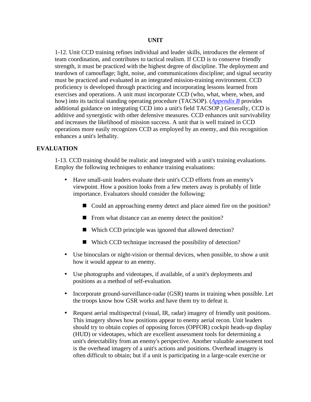1-12. Unit CCD training refines individual and leader skills, introduces the element of team coordination, and contributes to tactical realism. If CCD is to conserve friendly strength, it must be practiced with the highest degree of discipline. The deployment and teardown of camouflage; light, noise, and communications discipline; and signal security must be practiced and evaluated in an integrated mission-training environment. CCD proficiency is developed through practicing and incorporating lessons learned from exercises and operations. A unit must incorporate CCD (who, what, where, when, and how) into its tactical standing operating procedure (TACSOP). (*Appendix B* provides additional guidance on integrating CCD into a unit's field TACSOP.) Generally, CCD is additive and synergistic with other defensive measures. CCD enhances unit survivability and increases the likelihood of mission success. A unit that is well trained in CCD operations more easily recognizes CCD as employed by an enemy, and this recognition enhances a unit's lethality.

#### **EVALUATION**

1-13. CCD training should be realistic and integrated with a unit's training evaluations. Employ the following techniques to enhance training evaluations:

- Have small-unit leaders evaluate their unit's CCD efforts from an enemy's viewpoint. How a position looks from a few meters away is probably of little importance. Evaluators should consider the following:
	- Could an approaching enemy detect and place aimed fire on the position?
	- $\blacksquare$  From what distance can an enemy detect the position?
	- $\blacksquare$  Which CCD principle was ignored that allowed detection?
	- $\blacksquare$  Which CCD technique increased the possibility of detection?
- Use binoculars or night-vision or thermal devices, when possible, to show a unit how it would appear to an enemy.
- Use photographs and videotapes, if available, of a unit's deployments and positions as a method of self-evaluation.
- Incorporate ground-surveillance-radar (GSR) teams in training when possible. Let the troops know how GSR works and have them try to defeat it.
- Request aerial multispectral (visual, IR, radar) imagery of friendly unit positions. This imagery shows how positions appear to enemy aerial recon. Unit leaders should try to obtain copies of opposing forces (OPFOR) cockpit heads-up display (HUD) or videotapes, which are excellent assessment tools for determining a unit's detectability from an enemy's perspective. Another valuable assessment tool is the overhead imagery of a unit's actions and positions. Overhead imagery is often difficult to obtain; but if a unit is participating in a large-scale exercise or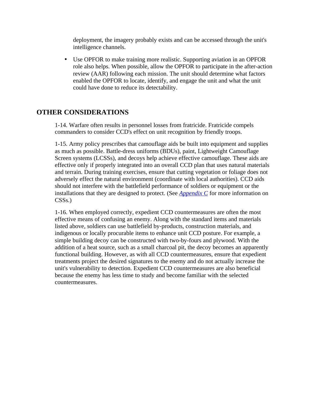deployment, the imagery probably exists and can be accessed through the unit's intelligence channels.

• Use OPFOR to make training more realistic. Supporting aviation in an OPFOR role also helps. When possible, allow the OPFOR to participate in the after-action review (AAR) following each mission. The unit should determine what factors enabled the OPFOR to locate, identify, and engage the unit and what the unit could have done to reduce its detectability.

## **OTHER CONSIDERATIONS**

1-14. Warfare often results in personnel losses from fratricide. Fratricide compels commanders to consider CCD's effect on unit recognition by friendly troops.

1-15. Army policy prescribes that camouflage aids be built into equipment and supplies as much as possible. Battle-dress uniforms (BDUs), paint, Lightweight Camouflage Screen systems (LCSSs), and decoys help achieve effective camouflage. These aids are effective only if properly integrated into an overall CCD plan that uses natural materials and terrain. During training exercises, ensure that cutting vegetation or foliage does not adversely effect the natural environment (coordinate with local authorities). CCD aids should not interfere with the battlefield performance of soldiers or equipment or the installations that they are designed to protect. (See *Appendix C* for more information on CSSs.)

1-16. When employed correctly, expedient CCD countermeasures are often the most effective means of confusing an enemy. Along with the standard items and materials listed above, soldiers can use battlefield by-products, construction materials, and indigenous or locally procurable items to enhance unit CCD posture. For example, a simple building decoy can be constructed with two-by-fours and plywood. With the addition of a heat source, such as a small charcoal pit, the decoy becomes an apparently functional building. However, as with all CCD countermeasures, ensure that expedient treatments project the desired signatures to the enemy and do not actually increase the unit's vulnerability to detection. Expedient CCD countermeasures are also beneficial because the enemy has less time to study and become familiar with the selected countermeasures.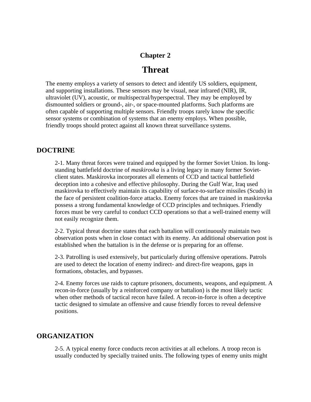## **Chapter 2**

## **Threat**

The enemy employs a variety of sensors to detect and identify US soldiers, equipment, and supporting installations. These sensors may be visual, near infrared (NIR), IR, ultraviolet (UV), acoustic, or multispectral/hyperspectral. They may be employed by dismounted soldiers or ground-, air-, or space-mounted platforms. Such platforms are often capable of supporting multiple sensors. Friendly troops rarely know the specific sensor systems or combination of systems that an enemy employs. When possible, friendly troops should protect against all known threat surveillance systems.

## **DOCTRINE**

2-1. Many threat forces were trained and equipped by the former Soviet Union. Its longstanding battlefield doctrine of *maskirovka* is a living legacy in many former Sovietclient states. Maskirovka incorporates all elements of CCD and tactical battlefield deception into a cohesive and effective philosophy. During the Gulf War, Iraq used maskirovka to effectively maintain its capability of surface-to-surface missiles (Scuds) in the face of persistent coalition-force attacks. Enemy forces that are trained in maskirovka possess a strong fundamental knowledge of CCD principles and techniques. Friendly forces must be very careful to conduct CCD operations so that a well-trained enemy will not easily recognize them.

2-2. Typical threat doctrine states that each battalion will continuously maintain two observation posts when in close contact with its enemy. An additional observation post is established when the battalion is in the defense or is preparing for an offense.

2-3. Patrolling is used extensively, but particularly during offensive operations. Patrols are used to detect the location of enemy indirect- and direct-fire weapons, gaps in formations, obstacles, and bypasses.

2-4. Enemy forces use raids to capture prisoners, documents, weapons, and equipment. A recon-in-force (usually by a reinforced company or battalion) is the most likely tactic when other methods of tactical recon have failed. A recon-in-force is often a deceptive tactic designed to simulate an offensive and cause friendly forces to reveal defensive positions.

## **ORGANIZATION**

2-5. A typical enemy force conducts recon activities at all echelons. A troop recon is usually conducted by specially trained units. The following types of enemy units might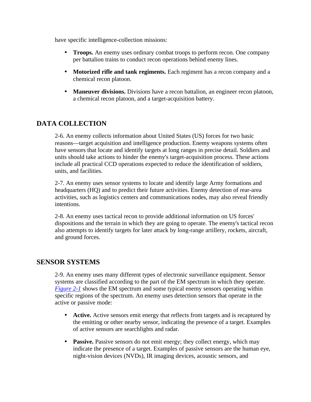have specific intelligence-collection missions:

- **Troops.** An enemy uses ordinary combat troops to perform recon. One company per battalion trains to conduct recon operations behind enemy lines.
- **Motorized rifle and tank regiments.** Each regiment has a recon company and a chemical recon platoon.
- **Maneuver divisions.** Divisions have a recon battalion, an engineer recon platoon, a chemical recon platoon, and a target-acquisition battery.

## **DATA COLLECTION**

2-6. An enemy collects information about United States (US) forces for two basic reasons—target acquisition and intelligence production. Enemy weapons systems often have sensors that locate and identify targets at long ranges in precise detail. Soldiers and units should take actions to hinder the enemy's target-acquisition process. These actions include all practical CCD operations expected to reduce the identification of soldiers, units, and facilities.

2-7. An enemy uses sensor systems to locate and identify large Army formations and headquarters (HQ) and to predict their future activities. Enemy detection of rear-area activities, such as logistics centers and communications nodes, may also reveal friendly intentions.

2-8. An enemy uses tactical recon to provide additional information on US forces' dispositions and the terrain in which they are going to operate. The enemy's tactical recon also attempts to identify targets for later attack by long-range artillery, rockets, aircraft, and ground forces.

## **SENSOR SYSTEMS**

2-9. An enemy uses many different types of electronic surveillance equipment. Sensor systems are classified according to the part of the EM spectrum in which they operate. *Figure 2-1* shows the EM spectrum and some typical enemy sensors operating within specific regions of the spectrum. An enemy uses detection sensors that operate in the active or passive mode:

- **Active.** Active sensors emit energy that reflects from targets and is recaptured by the emitting or other nearby sensor, indicating the presence of a target. Examples of active sensors are searchlights and radar.
- **Passive.** Passive sensors do not emit energy; they collect energy, which may indicate the presence of a target. Examples of passive sensors are the human eye, night-vision devices (NVDs), IR imaging devices, acoustic sensors, and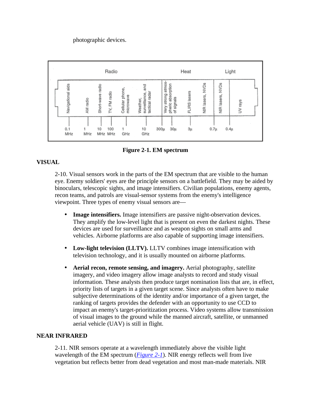photographic devices.



**Figure 2-1. EM spectrum**

## **VISUAL**

2-10. Visual sensors work in the parts of the EM spectrum that are visible to the human eye. Enemy soldiers' eyes are the principle sensors on a battlefield. They may be aided by binoculars, telescopic sights, and image intensifiers. Civilian populations, enemy agents, recon teams, and patrols are visual-sensor systems from the enemy's intelligence viewpoint. Three types of enemy visual sensors are—

- **Image intensifiers.** Image intensifiers are passive night-observation devices. They amplify the low-level light that is present on even the darkest nights. These devices are used for surveillance and as weapon sights on small arms and vehicles. Airborne platforms are also capable of supporting image intensifiers.
- **Low-light television (LLTV).** LLTV combines image intensification with television technology, and it is usually mounted on airborne platforms.
- **Aerial recon, remote sensing, and imagery.** Aerial photography, satellite imagery, and video imagery allow image analysts to record and study visual information. These analysts then produce target nomination lists that are, in effect, priority lists of targets in a given target scene. Since analysts often have to make subjective determinations of the identity and/or importance of a given target, the ranking of targets provides the defender with an opportunity to use CCD to impact an enemy's target-prioritization process. Video systems allow transmission of visual images to the ground while the manned aircraft, satellite, or unmanned aerial vehicle (UAV) is still in flight.

## **NEAR INFRARED**

2-11. NIR sensors operate at a wavelength immediately above the visible light wavelength of the EM spectrum (*Figure 2-1*). NIR energy reflects well from live vegetation but reflects better from dead vegetation and most man-made materials. NIR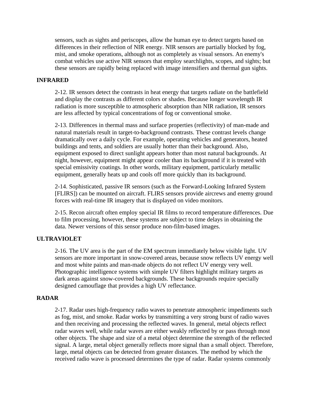sensors, such as sights and periscopes, allow the human eye to detect targets based on differences in their reflection of NIR energy. NIR sensors are partially blocked by fog, mist, and smoke operations, although not as completely as visual sensors. An enemy's combat vehicles use active NIR sensors that employ searchlights, scopes, and sights; but these sensors are rapidly being replaced with image intensifiers and thermal gun sights.

#### **INFRARED**

2-12. IR sensors detect the contrasts in heat energy that targets radiate on the battlefield and display the contrasts as different colors or shades. Because longer wavelength IR radiation is more susceptible to atmospheric absorption than NIR radiation, IR sensors are less affected by typical concentrations of fog or conventional smoke.

2-13. Differences in thermal mass and surface properties (reflectivity) of man-made and natural materials result in target-to-background contrasts. These contrast levels change dramatically over a daily cycle. For example, operating vehicles and generators, heated buildings and tents, and soldiers are usually hotter than their background. Also, equipment exposed to direct sunlight appears hotter than most natural backgrounds. At night, however, equipment might appear cooler than its background if it is treated with special emissivity coatings. In other words, military equipment, particularly metallic equipment, generally heats up and cools off more quickly than its background.

2-14. Sophisticated, passive IR sensors (such as the Forward-Looking Infrared System [FLIRS]) can be mounted on aircraft. FLIRS sensors provide aircrews and enemy ground forces with real-time IR imagery that is displayed on video monitors.

2-15. Recon aircraft often employ special IR films to record temperature differences. Due to film processing, however, these systems are subject to time delays in obtaining the data. Newer versions of this sensor produce non-film-based images.

#### **ULTRAVIOLET**

2-16. The UV area is the part of the EM spectrum immediately below visible light. UV sensors are more important in snow-covered areas, because snow reflects UV energy well and most white paints and man-made objects do not reflect UV energy very well. Photographic intelligence systems with simple UV filters highlight military targets as dark areas against snow-covered backgrounds. These backgrounds require specially designed camouflage that provides a high UV reflectance.

#### **RADAR**

2-17. Radar uses high-frequency radio waves to penetrate atmospheric impediments such as fog, mist, and smoke. Radar works by transmitting a very strong burst of radio waves and then receiving and processing the reflected waves. In general, metal objects reflect radar waves well, while radar waves are either weakly reflected by or pass through most other objects. The shape and size of a metal object determine the strength of the reflected signal. A large, metal object generally reflects more signal than a small object. Therefore, large, metal objects can be detected from greater distances. The method by which the received radio wave is processed determines the type of radar. Radar systems commonly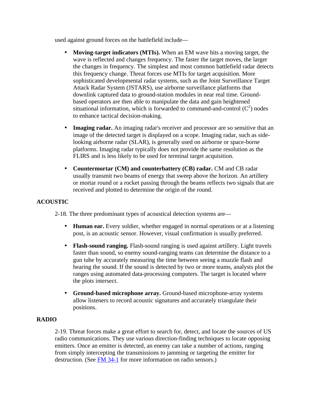used against ground forces on the battlefield include—

- **Moving-target indicators (MTIs).** When an EM wave hits a moving target, the wave is reflected and changes frequency. The faster the target moves, the larger the changes in frequency. The simplest and most common battlefield radar detects this frequency change. Threat forces use MTIs for target acquisition. More sophisticated developmental radar systems, such as the Joint Surveillance Target Attack Radar System (JSTARS), use airborne surveillance platforms that downlink captured data to ground-station modules in near real time. Groundbased operators are then able to manipulate the data and gain heightened situational information, which is forwarded to command-and-control  $(C^2)$  nodes to enhance tactical decision-making.
- **Imaging radar.** An imaging radar's receiver and processor are so sensitive that an image of the detected target is displayed on a scope. Imaging radar, such as sidelooking airborne radar (SLAR), is generally used on airborne or space-borne platforms. Imaging radar typically does not provide the same resolution as the FLIRS and is less likely to be used for terminal target acquisition.
- **Countermortar (CM) and counterbattery (CB) radar.** CM and CB radar usually transmit two beams of energy that sweep above the horizon. An artillery or mortar round or a rocket passing through the beams reflects two signals that are received and plotted to determine the origin of the round.

## **ACOUSTIC**

2-18. The three predominant types of acoustical detection systems are—

- **Human ear.** Every soldier, whether engaged in normal operations or at a listening post, is an acoustic sensor. However, visual confirmation is usually preferred.
- **Flash-sound ranging.** Flash-sound ranging is used against artillery. Light travels faster than sound, so enemy sound-ranging teams can determine the distance to a gun tube by accurately measuring the time between seeing a muzzle flash and hearing the sound. If the sound is detected by two or more teams, analysts plot the ranges using automated data-processing computers. The target is located where the plots intersect.
- **Ground-based microphone array.** Ground-based microphone-array systems allow listeners to record acoustic signatures and accurately triangulate their positions.

## **RADIO**

2-19. Threat forces make a great effort to search for, detect, and locate the sources of US radio communications. They use various direction-finding techniques to locate opposing emitters. Once an emitter is detected, an enemy can take a number of actions, ranging from simply intercepting the transmissions to jamming or targeting the emitter for destruction. (See **FM 34-1** for more information on radio sensors.)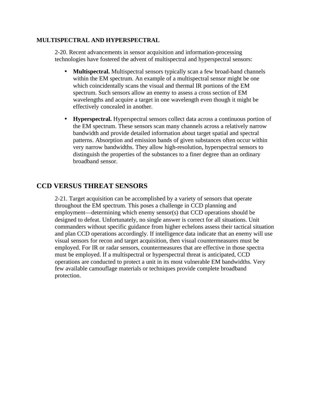#### **MULTISPECTRAL AND HYPERSPECTRAL**

2-20. Recent advancements in sensor acquisition and information-processing technologies have fostered the advent of multispectral and hyperspectral sensors:

- **Multispectral.** Multispectral sensors typically scan a few broad-band channels within the EM spectrum. An example of a multispectral sensor might be one which coincidentally scans the visual and thermal IR portions of the EM spectrum. Such sensors allow an enemy to assess a cross section of EM wavelengths and acquire a target in one wavelength even though it might be effectively concealed in another.
- **Hyperspectral.** Hyperspectral sensors collect data across a continuous portion of the EM spectrum. These sensors scan many channels across a relatively narrow bandwidth and provide detailed information about target spatial and spectral patterns. Absorption and emission bands of given substances often occur within very narrow bandwidths. They allow high-resolution, hyperspectral sensors to distinguish the properties of the substances to a finer degree than an ordinary broadband sensor.

## **CCD VERSUS THREAT SENSORS**

2-21. Target acquisition can be accomplished by a variety of sensors that operate throughout the EM spectrum. This poses a challenge in CCD planning and employment—determining which enemy sensor(s) that CCD operations should be designed to defeat. Unfortunately, no single answer is correct for all situations. Unit commanders without specific guidance from higher echelons assess their tactical situation and plan CCD operations accordingly. If intelligence data indicate that an enemy will use visual sensors for recon and target acquisition, then visual countermeasures must be employed. For IR or radar sensors, countermeasures that are effective in those spectra must be employed. If a multispectral or hyperspectral threat is anticipated, CCD operations are conducted to protect a unit in its most vulnerable EM bandwidths. Very few available camouflage materials or techniques provide complete broadband protection.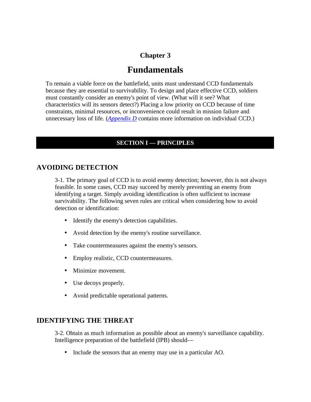## **Chapter 3**

## **Fundamentals**

To remain a viable force on the battlefield, units must understand CCD fundamentals because they are essential to survivability. To design and place effective CCD, soldiers must constantly consider an enemy's point of view. (What will it see? What characteristics will its sensors detect?) Placing a low priority on CCD because of time constraints, minimal resources, or inconvenience could result in mission failure and unnecessary loss of life. (*Appendix D* contains more information on individual CCD.)

## **SECTION I — PRINCIPLES**

## **AVOIDING DETECTION**

3-1. The primary goal of CCD is to avoid enemy detection; however, this is not always feasible. In some cases, CCD may succeed by merely preventing an enemy from identifying a target. Simply avoiding identification is often sufficient to increase survivability. The following seven rules are critical when considering how to avoid detection or identification:

- Identify the enemy's detection capabilities.
- Avoid detection by the enemy's routine surveillance.
- Take countermeasures against the enemy's sensors.
- Employ realistic, CCD countermeasures.
- Minimize movement.
- Use decoys properly.
- Avoid predictable operational patterns.

## **IDENTIFYING THE THREAT**

3-2. Obtain as much information as possible about an enemy's surveillance capability. Intelligence preparation of the battlefield (IPB) should—

• Include the sensors that an enemy may use in a particular AO.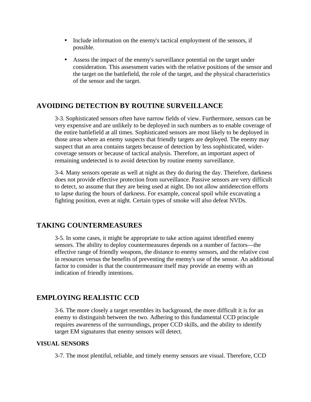- Include information on the enemy's tactical employment of the sensors, if possible.
- Assess the impact of the enemy's surveillance potential on the target under consideration. This assessment varies with the relative positions of the sensor and the target on the battlefield, the role of the target, and the physical characteristics of the sensor and the target.

## **AVOIDING DETECTION BY ROUTINE SURVEILLANCE**

3-3. Sophisticated sensors often have narrow fields of view. Furthermore, sensors can be very expensive and are unlikely to be deployed in such numbers as to enable coverage of the entire battlefield at all times. Sophisticated sensors are most likely to be deployed in those areas where an enemy suspects that friendly targets are deployed. The enemy may suspect that an area contains targets because of detection by less sophisticated, widercoverage sensors or because of tactical analysis. Therefore, an important aspect of remaining undetected is to avoid detection by routine enemy surveillance.

3-4. Many sensors operate as well at night as they do during the day. Therefore, darkness does not provide effective protection from surveillance. Passive sensors are very difficult to detect, so assume that they are being used at night. Do not allow antidetection efforts to lapse during the hours of darkness. For example, conceal spoil while excavating a fighting position, even at night. Certain types of smoke will also defeat NVDs.

## **TAKING COUNTERMEASURES**

3-5. In some cases, it might be appropriate to take action against identified enemy sensors. The ability to deploy countermeasures depends on a number of factors—the effective range of friendly weapons, the distance to enemy sensors, and the relative cost in resources versus the benefits of preventing the enemy's use of the sensor. An additional factor to consider is that the countermeasure itself may provide an enemy with an indication of friendly intentions.

## **EMPLOYING REALISTIC CCD**

3-6. The more closely a target resembles its background, the more difficult it is for an enemy to distinguish between the two. Adhering to this fundamental CCD principle requires awareness of the surroundings, proper CCD skills, and the ability to identify target EM signatures that enemy sensors will detect.

#### **VISUAL SENSORS**

3-7. The most plentiful, reliable, and timely enemy sensors are visual. Therefore, CCD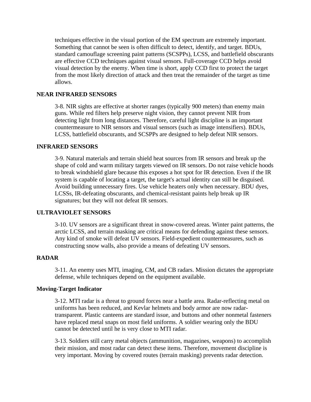techniques effective in the visual portion of the EM spectrum are extremely important. Something that cannot be seen is often difficult to detect, identify, and target. BDUs, standard camouflage screening paint patterns (SCSPPs), LCSS, and battlefield obscurants are effective CCD techniques against visual sensors. Full-coverage CCD helps avoid visual detection by the enemy. When time is short, apply CCD first to protect the target from the most likely direction of attack and then treat the remainder of the target as time allows.

#### **NEAR INFRARED SENSORS**

3-8. NIR sights are effective at shorter ranges (typically 900 meters) than enemy main guns. While red filters help preserve night vision, they cannot prevent NIR from detecting light from long distances. Therefore, careful light discipline is an important countermeasure to NIR sensors and visual sensors (such as image intensifiers). BDUs, LCSS, battlefield obscurants, and SCSPPs are designed to help defeat NIR sensors.

#### **INFRARED SENSORS**

3-9. Natural materials and terrain shield heat sources from IR sensors and break up the shape of cold and warm military targets viewed on IR sensors. Do not raise vehicle hoods to break windshield glare because this exposes a hot spot for IR detection. Even if the IR system is capable of locating a target, the target's actual identity can still be disguised. Avoid building unnecessary fires. Use vehicle heaters only when necessary. BDU dyes, LCSSs, IR-defeating obscurants, and chemical-resistant paints help break up IR signatures; but they will not defeat IR sensors.

#### **ULTRAVIOLET SENSORS**

3-10. UV sensors are a significant threat in snow-covered areas. Winter paint patterns, the arctic LCSS, and terrain masking are critical means for defending against these sensors. Any kind of smoke will defeat UV sensors. Field-expedient countermeasures, such as constructing snow walls, also provide a means of defeating UV sensors.

## **RADAR**

3-11. An enemy uses MTI, imaging, CM, and CB radars. Mission dictates the appropriate defense, while techniques depend on the equipment available.

#### **Moving-Target Indicator**

3-12. MTI radar is a threat to ground forces near a battle area. Radar-reflecting metal on uniforms has been reduced, and Kevlar helmets and body armor are now radartransparent. Plastic canteens are standard issue, and buttons and other nonmetal fasteners have replaced metal snaps on most field uniforms. A soldier wearing only the BDU cannot be detected until he is very close to MTI radar.

3-13. Soldiers still carry metal objects (ammunition, magazines, weapons) to accomplish their mission, and most radar can detect these items. Therefore, movement discipline is very important. Moving by covered routes (terrain masking) prevents radar detection.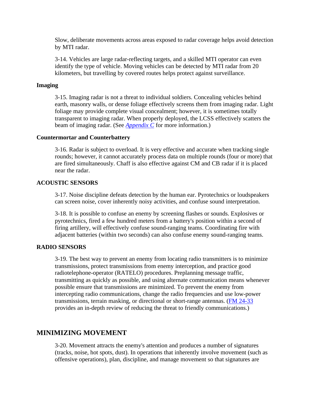Slow, deliberate movements across areas exposed to radar coverage helps avoid detection by MTI radar.

3-14. Vehicles are large radar-reflecting targets, and a skilled MTI operator can even identify the type of vehicle. Moving vehicles can be detected by MTI radar from 20 kilometers, but travelling by covered routes helps protect against surveillance.

#### **Imaging**

3-15. Imaging radar is not a threat to individual soldiers. Concealing vehicles behind earth, masonry walls, or dense foliage effectively screens them from imaging radar. Light foliage may provide complete visual concealment; however, it is sometimes totally transparent to imaging radar. When properly deployed, the LCSS effectively scatters the beam of imaging radar. (See *Appendix C* for more information.)

#### **Countermortar and Counterbattery**

3-16. Radar is subject to overload. It is very effective and accurate when tracking single rounds; however, it cannot accurately process data on multiple rounds (four or more) that are fired simultaneously. Chaff is also effective against CM and CB radar if it is placed near the radar.

#### **ACOUSTIC SENSORS**

3-17. Noise discipline defeats detection by the human ear. Pyrotechnics or loudspeakers can screen noise, cover inherently noisy activities, and confuse sound interpretation.

3-18. It is possible to confuse an enemy by screening flashes or sounds. Explosives or pyrotechnics, fired a few hundred meters from a battery's position within a second of firing artillery, will effectively confuse sound-ranging teams. Coordinating fire with adjacent batteries (within two seconds) can also confuse enemy sound-ranging teams.

#### **RADIO SENSORS**

3-19. The best way to prevent an enemy from locating radio transmitters is to minimize transmissions, protect transmissions from enemy interception, and practice good radiotelephone-operator (RATELO) procedures. Preplanning message traffic, transmitting as quickly as possible, and using alternate communication means whenever possible ensure that transmissions are minimized. To prevent the enemy from intercepting radio communications, change the radio frequencies and use low-power transmissions, terrain masking, or directional or short-range antennas. (FM 24-33 provides an in-depth review of reducing the threat to friendly communications.)

## **MINIMIZING MOVEMENT**

3-20. Movement attracts the enemy's attention and produces a number of signatures (tracks, noise, hot spots, dust). In operations that inherently involve movement (such as offensive operations), plan, discipline, and manage movement so that signatures are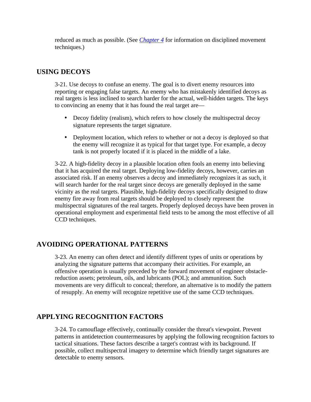reduced as much as possible. (See *Chapter 4* for information on disciplined movement techniques.)

## **USING DECOYS**

3-21. Use decoys to confuse an enemy. The goal is to divert enemy resources into reporting or engaging false targets. An enemy who has mistakenly identified decoys as real targets is less inclined to search harder for the actual, well-hidden targets. The keys to convincing an enemy that it has found the real target are—

- Decoy fidelity (realism), which refers to how closely the multispectral decoy signature represents the target signature.
- Deployment location, which refers to whether or not a decoy is deployed so that the enemy will recognize it as typical for that target type. For example, a decoy tank is not properly located if it is placed in the middle of a lake.

3-22. A high-fidelity decoy in a plausible location often fools an enemy into believing that it has acquired the real target. Deploying low-fidelity decoys, however, carries an associated risk. If an enemy observes a decoy and immediately recognizes it as such, it will search harder for the real target since decoys are generally deployed in the same vicinity as the real targets. Plausible, high-fidelity decoys specifically designed to draw enemy fire away from real targets should be deployed to closely represent the multispectral signatures of the real targets. Properly deployed decoys have been proven in operational employment and experimental field tests to be among the most effective of all CCD techniques.

## **AVOIDING OPERATIONAL PATTERNS**

3-23. An enemy can often detect and identify different types of units or operations by analyzing the signature patterns that accompany their activities. For example, an offensive operation is usually preceded by the forward movement of engineer obstaclereduction assets; petroleum, oils, and lubricants (POL); and ammunition. Such movements are very difficult to conceal; therefore, an alternative is to modify the pattern of resupply. An enemy will recognize repetitive use of the same CCD techniques.

## **APPLYING RECOGNITION FACTORS**

3-24. To camouflage effectively, continually consider the threat's viewpoint. Prevent patterns in antidetection countermeasures by applying the following recognition factors to tactical situations. These factors describe a target's contrast with its background. If possible, collect multispectral imagery to determine which friendly target signatures are detectable to enemy sensors.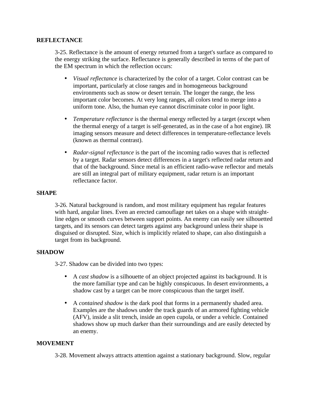#### **REFLECTANCE**

3-25. Reflectance is the amount of energy returned from a target's surface as compared to the energy striking the surface. Reflectance is generally described in terms of the part of the EM spectrum in which the reflection occurs:

- *Visual reflectance* is characterized by the color of a target. Color contrast can be important, particularly at close ranges and in homogeneous background environments such as snow or desert terrain. The longer the range, the less important color becomes. At very long ranges, all colors tend to merge into a uniform tone. Also, the human eye cannot discriminate color in poor light.
- *Temperature reflectance* is the thermal energy reflected by a target (except when the thermal energy of a target is self-generated, as in the case of a hot engine). IR imaging sensors measure and detect differences in temperature-reflectance levels (known as thermal contrast).
- *Radar-signal reflectance* is the part of the incoming radio waves that is reflected by a target. Radar sensors detect differences in a target's reflected radar return and that of the background. Since metal is an efficient radio-wave reflector and metals are still an integral part of military equipment, radar return is an important reflectance factor.

## **SHAPE**

3-26. Natural background is random, and most military equipment has regular features with hard, angular lines. Even an erected camouflage net takes on a shape with straightline edges or smooth curves between support points. An enemy can easily see silhouetted targets, and its sensors can detect targets against any background unless their shape is disguised or disrupted. Size, which is implicitly related to shape, can also distinguish a target from its background.

#### **SHADOW**

3-27. Shadow can be divided into two types:

- A *cast shadow* is a silhouette of an object projected against its background. It is the more familiar type and can be highly conspicuous. In desert environments, a shadow cast by a target can be more conspicuous than the target itself.
- A *contained shadow* is the dark pool that forms in a permanently shaded area. Examples are the shadows under the track guards of an armored fighting vehicle (AFV), inside a slit trench, inside an open cupola, or under a vehicle. Contained shadows show up much darker than their surroundings and are easily detected by an enemy.

## **MOVEMENT**

3-28. Movement always attracts attention against a stationary background. Slow, regular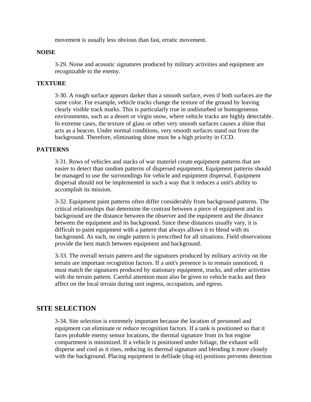movement is usually less obvious than fast, erratic movement.

#### **NOISE**

3-29. Noise and acoustic signatures produced by military activities and equipment are recognizable to the enemy.

#### **TEXTURE**

3-30. A rough surface appears darker than a smooth surface, even if both surfaces are the same color. For example, vehicle tracks change the texture of the ground by leaving clearly visible track marks. This is particularly true in undisturbed or homogeneous environments, such as a desert or virgin snow, where vehicle tracks are highly detectable. In extreme cases, the texture of glass or other very smooth surfaces causes a shine that acts as a beacon. Under normal conditions, very smooth surfaces stand out from the background. Therefore, eliminating shine must be a high priority in CCD.

#### **PATTERNS**

3-31. Rows of vehicles and stacks of war materiel create equipment patterns that are easier to detect than random patterns of dispersed equipment. Equipment patterns should be managed to use the surroundings for vehicle and equipment dispersal. Equipment dispersal should not be implemented in such a way that it reduces a unit's ability to accomplish its mission.

3-32. Equipment paint patterns often differ considerably from background patterns. The critical relationships that determine the contrast between a piece of equipment and its background are the distance between the observer and the equipment and the distance between the equipment and its background. Since these distances usually vary, it is difficult to paint equipment with a pattern that always allows it to blend with its background. As such, no single pattern is prescribed for all situations. Field observations provide the best match between equipment and background.

3-33. The overall terrain pattern and the signatures produced by military activity on the terrain are important recognition factors. If a unit's presence is to remain unnoticed, it must match the signatures produced by stationary equipment, trucks, and other activities with the terrain pattern. Careful attention must also be given to vehicle tracks and their affect on the local terrain during unit ingress, occupation, and egress.

## **SITE SELECTION**

3-34. Site selection is extremely important because the location of personnel and equipment can eliminate or reduce recognition factors. If a tank is positioned so that it faces probable enemy sensor locations, the thermal signature from its hot engine compartment is minimized. If a vehicle is positioned under foliage, the exhaust will disperse and cool as it rises, reducing its thermal signature and blending it more closely with the background. Placing equipment in defilade (dug-in) positions prevents detection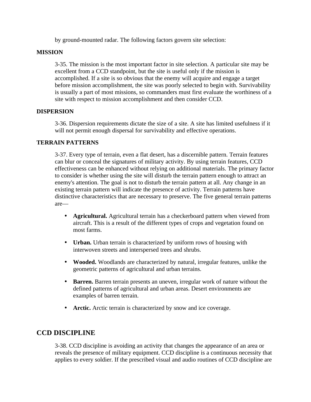by ground-mounted radar. The following factors govern site selection:

#### **MISSION**

3-35. The mission is the most important factor in site selection. A particular site may be excellent from a CCD standpoint, but the site is useful only if the mission is accomplished. If a site is so obvious that the enemy will acquire and engage a target before mission accomplishment, the site was poorly selected to begin with. Survivability is usually a part of most missions, so commanders must first evaluate the worthiness of a site with respect to mission accomplishment and then consider CCD.

#### **DISPERSION**

3-36. Dispersion requirements dictate the size of a site. A site has limited usefulness if it will not permit enough dispersal for survivability and effective operations.

#### **TERRAIN PATTERNS**

3-37. Every type of terrain, even a flat desert, has a discernible pattern. Terrain features can blur or conceal the signatures of military activity. By using terrain features, CCD effectiveness can be enhanced without relying on additional materials. The primary factor to consider is whether using the site will disturb the terrain pattern enough to attract an enemy's attention. The goal is not to disturb the terrain pattern at all. Any change in an existing terrain pattern will indicate the presence of activity. Terrain patterns have distinctive characteristics that are necessary to preserve. The five general terrain patterns are—

- **Agricultural.** Agricultural terrain has a checkerboard pattern when viewed from aircraft. This is a result of the different types of crops and vegetation found on most farms.
- **Urban.** Urban terrain is characterized by uniform rows of housing with interwoven streets and interspersed trees and shrubs.
- **Wooded.** Woodlands are characterized by natural, irregular features, unlike the geometric patterns of agricultural and urban terrains.
- **Barren.** Barren terrain presents an uneven, irregular work of nature without the defined patterns of agricultural and urban areas. Desert environments are examples of barren terrain.
- **Arctic.** Arctic terrain is characterized by snow and ice coverage.

## **CCD DISCIPLINE**

3-38. CCD discipline is avoiding an activity that changes the appearance of an area or reveals the presence of military equipment. CCD discipline is a continuous necessity that applies to every soldier. If the prescribed visual and audio routines of CCD discipline are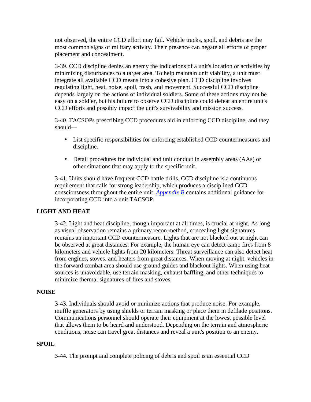not observed, the entire CCD effort may fail. Vehicle tracks, spoil, and debris are the most common signs of military activity. Their presence can negate all efforts of proper placement and concealment.

3-39. CCD discipline denies an enemy the indications of a unit's location or activities by minimizing disturbances to a target area. To help maintain unit viability, a unit must integrate all available CCD means into a cohesive plan. CCD discipline involves regulating light, heat, noise, spoil, trash, and movement. Successful CCD discipline depends largely on the actions of individual soldiers. Some of these actions may not be easy on a soldier, but his failure to observe CCD discipline could defeat an entire unit's CCD efforts and possibly impact the unit's survivability and mission success.

3-40. TACSOPs prescribing CCD procedures aid in enforcing CCD discipline, and they should—

- List specific responsibilities for enforcing established CCD countermeasures and discipline.
- Detail procedures for individual and unit conduct in assembly areas (AAs) or other situations that may apply to the specific unit.

3-41. Units should have frequent CCD battle drills. CCD discipline is a continuous requirement that calls for strong leadership, which produces a disciplined CCD consciousness throughout the entire unit. *Appendix B* contains additional guidance for incorporating CCD into a unit TACSOP.

## **LIGHT AND HEAT**

3-42. Light and heat discipline, though important at all times, is crucial at night. As long as visual observation remains a primary recon method, concealing light signatures remains an important CCD countermeasure. Lights that are not blacked out at night can be observed at great distances. For example, the human eye can detect camp fires from 8 kilometers and vehicle lights from 20 kilometers. Threat surveillance can also detect heat from engines, stoves, and heaters from great distances. When moving at night, vehicles in the forward combat area should use ground guides and blackout lights. When using heat sources is unavoidable, use terrain masking, exhaust baffling, and other techniques to minimize thermal signatures of fires and stoves.

#### **NOISE**

3-43. Individuals should avoid or minimize actions that produce noise. For example, muffle generators by using shields or terrain masking or place them in defilade positions. Communications personnel should operate their equipment at the lowest possible level that allows them to be heard and understood. Depending on the terrain and atmospheric conditions, noise can travel great distances and reveal a unit's position to an enemy.

#### **SPOIL**

3-44. The prompt and complete policing of debris and spoil is an essential CCD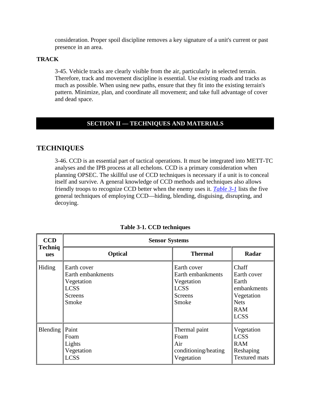consideration. Proper spoil discipline removes a key signature of a unit's current or past presence in an area.

## **TRACK**

3-45. Vehicle tracks are clearly visible from the air, particularly in selected terrain. Therefore, track and movement discipline is essential. Use existing roads and tracks as much as possible. When using new paths, ensure that they fit into the existing terrain's pattern. Minimize, plan, and coordinate all movement; and take full advantage of cover and dead space.

## **SECTION II — TECHNIQUES AND MATERIALS**

## **TECHNIQUES**

3-46. CCD is an essential part of tactical operations. It must be integrated into METT-TC analyses and the IPB process at all echelons. CCD is a primary consideration when planning OPSEC. The skillful use of CCD techniques is necessary if a unit is to conceal itself and survive. A general knowledge of CCD methods and techniques also allows friendly troops to recognize CCD better when the enemy uses it. *Table 3-1* lists the five general techniques of employing CCD—hiding, blending, disguising, disrupting, and decoying.

| <b>CCD</b><br><b>Techniq</b><br>ues | <b>Sensor Systems</b>                                                                    |                                                                                          |                                                                                                        |  |
|-------------------------------------|------------------------------------------------------------------------------------------|------------------------------------------------------------------------------------------|--------------------------------------------------------------------------------------------------------|--|
|                                     | <b>Optical</b>                                                                           | <b>Thermal</b>                                                                           | Radar                                                                                                  |  |
| Hiding                              | Earth cover<br>Earth embankments<br>Vegetation<br><b>LCSS</b><br><b>Screens</b><br>Smoke | Earth cover<br>Earth embankments<br>Vegetation<br><b>LCSS</b><br><b>Screens</b><br>Smoke | Chaff<br>Earth cover<br>Earth<br>embankments<br>Vegetation<br><b>Nets</b><br><b>RAM</b><br><b>LCSS</b> |  |
| <b>Blending</b>                     | Paint<br>Foam<br>Lights<br>Vegetation<br><b>LCSS</b>                                     | Thermal paint<br>Foam<br>Air<br>conditioning/heating<br>Vegetation                       | Vegetation<br><b>LCSS</b><br><b>RAM</b><br>Reshaping<br><b>Textured</b> mats                           |  |

|  |  | Table 3-1. CCD techniques |
|--|--|---------------------------|
|--|--|---------------------------|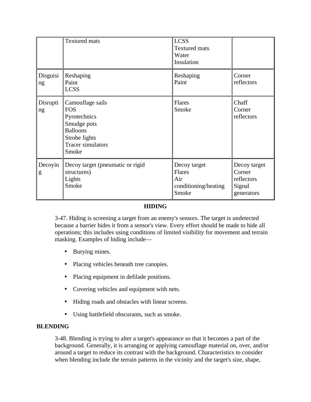|                | <b>Textured</b> mats                                                                                                                   | <b>LCSS</b><br><b>Textured</b> mats<br>Water<br>Insulation     |                                                              |
|----------------|----------------------------------------------------------------------------------------------------------------------------------------|----------------------------------------------------------------|--------------------------------------------------------------|
| Disguisi<br>ng | Reshaping<br>Paint<br><b>LCSS</b>                                                                                                      | Reshaping<br>Paint                                             | Corner<br>reflectors                                         |
| Disrupti<br>ng | Camouflage sails<br><b>FOS</b><br>Pyrotechnics<br>Smudge pots<br><b>Balloons</b><br>Strobe lights<br><b>Tracer simulators</b><br>Smoke | Flares<br>Smoke                                                | Chaff<br>Corner<br>reflectors                                |
| Decoyin<br>g   | Decoy target (pneumatic or rigid<br>structures)<br>Lights<br>Smoke                                                                     | Decoy target<br>Flares<br>Air<br>conditioning/heating<br>Smoke | Decoy target<br>Corner<br>reflectors<br>Signal<br>generators |

#### **HIDING**

3-47. Hiding is screening a target from an enemy's sensors. The target is undetected because a barrier hides it from a sensor's view. Every effort should be made to hide all operations; this includes using conditions of limited visibility for movement and terrain masking. Examples of hiding include—

- Burying mines.
- Placing vehicles beneath tree canopies.
- Placing equipment in defilade positions.
- Covering vehicles and equipment with nets.
- Hiding roads and obstacles with linear screens.
- Using battlefield obscurants, such as smoke.

## **BLENDING**

3-48. Blending is trying to alter a target's appearance so that it becomes a part of the background. Generally, it is arranging or applying camouflage material on, over, and/or around a target to reduce its contrast with the background. Characteristics to consider when blending include the terrain patterns in the vicinity and the target's size, shape,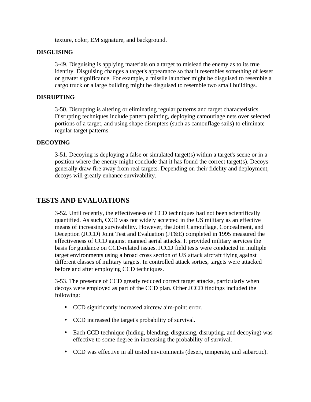texture, color, EM signature, and background.

#### **DISGUISING**

3-49. Disguising is applying materials on a target to mislead the enemy as to its true identity. Disguising changes a target's appearance so that it resembles something of lesser or greater significance. For example, a missile launcher might be disguised to resemble a cargo truck or a large building might be disguised to resemble two small buildings.

## **DISRUPTING**

3-50. Disrupting is altering or eliminating regular patterns and target characteristics. Disrupting techniques include pattern painting, deploying camouflage nets over selected portions of a target, and using shape disrupters (such as camouflage sails) to eliminate regular target patterns.

## **DECOYING**

3-51. Decoying is deploying a false or simulated target(s) within a target's scene or in a position where the enemy might conclude that it has found the correct target(s). Decoys generally draw fire away from real targets. Depending on their fidelity and deployment, decoys will greatly enhance survivability.

## **TESTS AND EVALUATIONS**

3-52. Until recently, the effectiveness of CCD techniques had not been scientifically quantified. As such, CCD was not widely accepted in the US military as an effective means of increasing survivability. However, the Joint Camouflage, Concealment, and Deception (JCCD) Joint Test and Evaluation (JT&E) completed in 1995 measured the effectiveness of CCD against manned aerial attacks. It provided military services the basis for guidance on CCD-related issues. JCCD field tests were conducted in multiple target environments using a broad cross section of US attack aircraft flying against different classes of military targets. In controlled attack sorties, targets were attacked before and after employing CCD techniques.

3-53. The presence of CCD greatly reduced correct target attacks, particularly when decoys were employed as part of the CCD plan. Other JCCD findings included the following:

- CCD significantly increased aircrew aim-point error.
- CCD increased the target's probability of survival.
- Each CCD technique (hiding, blending, disguising, disrupting, and decoying) was effective to some degree in increasing the probability of survival.
- CCD was effective in all tested environments (desert, temperate, and subarctic).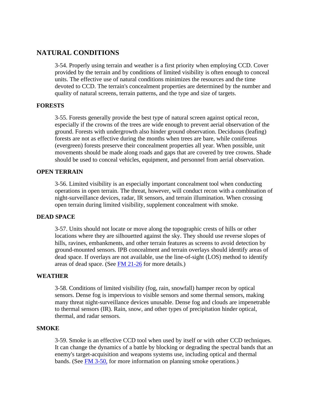## **NATURAL CONDITIONS**

3-54. Properly using terrain and weather is a first priority when employing CCD. Cover provided by the terrain and by conditions of limited visibility is often enough to conceal units. The effective use of natural conditions minimizes the resources and the time devoted to CCD. The terrain's concealment properties are determined by the number and quality of natural screens, terrain patterns, and the type and size of targets.

#### **FORESTS**

3-55. Forests generally provide the best type of natural screen against optical recon, especially if the crowns of the trees are wide enough to prevent aerial observation of the ground. Forests with undergrowth also hinder ground observation. Deciduous (leafing) forests are not as effective during the months when trees are bare, while coniferous (evergreen) forests preserve their concealment properties all year. When possible, unit movements should be made along roads and gaps that are covered by tree crowns. Shade should be used to conceal vehicles, equipment, and personnel from aerial observation.

#### **OPEN TERRAIN**

3-56. Limited visibility is an especially important concealment tool when conducting operations in open terrain. The threat, however, will conduct recon with a combination of night-surveillance devices, radar, IR sensors, and terrain illumination. When crossing open terrain during limited visibility, supplement concealment with smoke.

#### **DEAD SPACE**

3-57. Units should not locate or move along the topographic crests of hills or other locations where they are silhouetted against the sky. They should use reverse slopes of hills, ravines, embankments, and other terrain features as screens to avoid detection by ground-mounted sensors. IPB concealment and terrain overlays should identify areas of dead space. If overlays are not available, use the line-of-sight (LOS) method to identify areas of dead space. (See FM 21-26 for more details.)

## **WEATHER**

3-58. Conditions of limited visibility (fog, rain, snowfall) hamper recon by optical sensors. Dense fog is impervious to visible sensors and some thermal sensors, making many threat night-surveillance devices unusable. Dense fog and clouds are impenetrable to thermal sensors (IR). Rain, snow, and other types of precipitation hinder optical, thermal, and radar sensors.

#### **SMOKE**

3-59. Smoke is an effective CCD tool when used by itself or with other CCD techniques. It can change the dynamics of a battle by blocking or degrading the spectral bands that an enemy's target-acquisition and weapons systems use, including optical and thermal bands. (See FM 3-50, for more information on planning smoke operations.)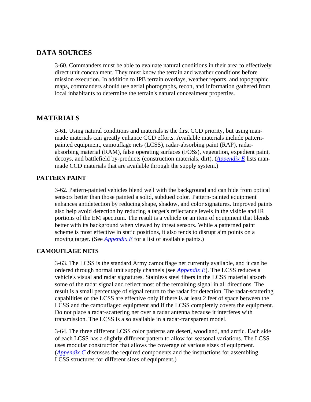## **DATA SOURCES**

3-60. Commanders must be able to evaluate natural conditions in their area to effectively direct unit concealment. They must know the terrain and weather conditions before mission execution. In addition to IPB terrain overlays, weather reports, and topographic maps, commanders should use aerial photographs, recon, and information gathered from local inhabitants to determine the terrain's natural concealment properties.

## **MATERIALS**

3-61. Using natural conditions and materials is the first CCD priority, but using manmade materials can greatly enhance CCD efforts. Available materials include patternpainted equipment, camouflage nets (LCSS), radar-absorbing paint (RAP), radarabsorbing material (RAM), false operating surfaces (FOSs), vegetation, expedient paint, decoys, and battlefield by-products (construction materials, dirt). (*Appendix E* lists manmade CCD materials that are available through the supply system.)

#### **PATTERN PAINT**

3-62. Pattern-painted vehicles blend well with the background and can hide from optical sensors better than those painted a solid, subdued color. Pattern-painted equipment enhances antidetection by reducing shape, shadow, and color signatures. Improved paints also help avoid detection by reducing a target's reflectance levels in the visible and IR portions of the EM spectrum. The result is a vehicle or an item of equipment that blends better with its background when viewed by threat sensors. While a patterned paint scheme is most effective in static positions, it also tends to disrupt aim points on a moving target. (See *Appendix E* for a list of available paints.)

## **CAMOUFLAGE NETS**

3-63. The LCSS is the standard Army camouflage net currently available, and it can be ordered through normal unit supply channels (see *Appendix E*). The LCSS reduces a vehicle's visual and radar signatures. Stainless steel fibers in the LCSS material absorb some of the radar signal and reflect most of the remaining signal in all directions. The result is a small percentage of signal return to the radar for detection. The radar-scattering capabilities of the LCSS are effective only if there is at least 2 feet of space between the LCSS and the camouflaged equipment and if the LCSS completely covers the equipment. Do not place a radar-scattering net over a radar antenna because it interferes with transmission. The LCSS is also available in a radar-transparent model.

3-64. The three different LCSS color patterns are desert, woodland, and arctic. Each side of each LCSS has a slightly different pattern to allow for seasonal variations. The LCSS uses modular construction that allows the coverage of various sizes of equipment. (*Appendix C* discusses the required components and the instructions for assembling LCSS structures for different sizes of equipment.)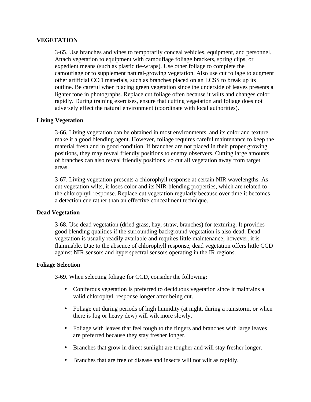#### **VEGETATION**

3-65. Use branches and vines to temporarily conceal vehicles, equipment, and personnel. Attach vegetation to equipment with camouflage foliage brackets, spring clips, or expedient means (such as plastic tie-wraps). Use other foliage to complete the camouflage or to supplement natural-growing vegetation. Also use cut foliage to augment other artificial CCD materials, such as branches placed on an LCSS to break up its outline. Be careful when placing green vegetation since the underside of leaves presents a lighter tone in photographs. Replace cut foliage often because it wilts and changes color rapidly. During training exercises, ensure that cutting vegetation and foliage does not adversely effect the natural environment (coordinate with local authorities).

#### **Living Vegetation**

3-66. Living vegetation can be obtained in most environments, and its color and texture make it a good blending agent. However, foliage requires careful maintenance to keep the material fresh and in good condition. If branches are not placed in their proper growing positions, they may reveal friendly positions to enemy observers. Cutting large amounts of branches can also reveal friendly positions, so cut all vegetation away from target areas.

3-67. Living vegetation presents a chlorophyll response at certain NIR wavelengths. As cut vegetation wilts, it loses color and its NIR-blending properties, which are related to the chlorophyll response. Replace cut vegetation regularly because over time it becomes a detection cue rather than an effective concealment technique.

#### **Dead Vegetation**

3-68. Use dead vegetation (dried grass, hay, straw, branches) for texturing. It provides good blending qualities if the surrounding background vegetation is also dead. Dead vegetation is usually readily available and requires little maintenance; however, it is flammable. Due to the absence of chlorophyll response, dead vegetation offers little CCD against NIR sensors and hyperspectral sensors operating in the IR regions.

#### **Foliage Selection**

3-69. When selecting foliage for CCD, consider the following:

- Coniferous vegetation is preferred to deciduous vegetation since it maintains a valid chlorophyll response longer after being cut.
- Foliage cut during periods of high humidity (at night, during a rainstorm, or when there is fog or heavy dew) will wilt more slowly.
- Foliage with leaves that feel tough to the fingers and branches with large leaves are preferred because they stay fresher longer.
- Branches that grow in direct sunlight are tougher and will stay fresher longer.
- Branches that are free of disease and insects will not wilt as rapidly.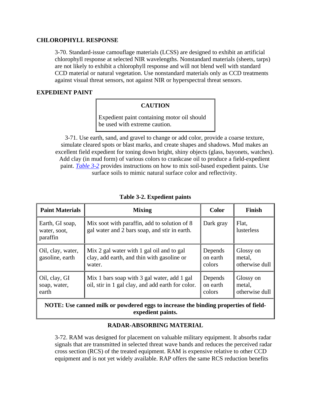## **CHLOROPHYLL RESPONSE**

3-70. Standard-issue camouflage materials (LCSS) are designed to exhibit an artificial chlorophyll response at selected NIR wavelengths. Nonstandard materials (sheets, tarps) are not likely to exhibit a chlorophyll response and will not blend well with standard CCD material or natural vegetation. Use nonstandard materials only as CCD treatments against visual threat sensors, not against NIR or hyperspectral threat sensors.

## **EXPEDIENT PAINT**

## **CAUTION**

Expedient paint containing motor oil should be used with extreme caution.

3-71. Use earth, sand, and gravel to change or add color, provide a coarse texture, simulate cleared spots or blast marks, and create shapes and shadows. Mud makes an excellent field expedient for toning down bright, shiny objects (glass, bayonets, watches). Add clay (in mud form) of various colors to crankcase oil to produce a field-expedient paint. *Table 3-2* provides instructions on how to mix soil-based expedient paints. Use surface soils to mimic natural surface color and reflectivity.

| <b>Paint Materials</b>                      | <b>Mixing</b>                                                                                     | <b>Color</b>                  | <b>Finish</b>                         |
|---------------------------------------------|---------------------------------------------------------------------------------------------------|-------------------------------|---------------------------------------|
| Earth, GI soap,<br>water, soot,<br>paraffin | Mix soot with paraffin, add to solution of 8<br>gal water and 2 bars soap, and stir in earth.     | Dark gray                     | Flat,<br>lusterless                   |
| Oil, clay, water,<br>gasoline, earth        | Mix 2 gal water with 1 gal oil and to gal<br>clay, add earth, and thin with gasoline or<br>water. | Depends<br>on earth<br>colors | Glossy on<br>metal.<br>otherwise dull |
| Oil, clay, GI<br>soap, water,<br>earth      | Mix 1 bars soap with 3 gal water, add 1 gal<br>oil, stir in 1 gal clay, and add earth for color.  | Depends<br>on earth<br>colors | Glossy on<br>metal,<br>otherwise dull |

## **Table 3-2. Expedient paints**

## **NOTE: Use canned milk or powdered eggs to increase the binding properties of fieldexpedient paints.**

## **RADAR-ABSORBING MATERIAL**

3-72. RAM was designed for placement on valuable military equipment. It absorbs radar signals that are transmitted in selected threat wave bands and reduces the perceived radar cross section (RCS) of the treated equipment. RAM is expensive relative to other CCD equipment and is not yet widely available. RAP offers the same RCS reduction benefits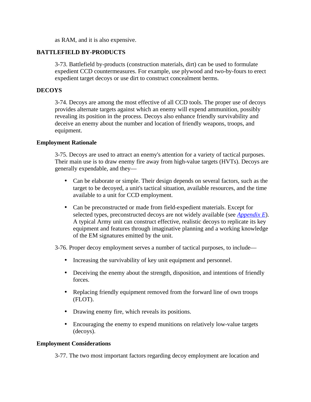as RAM, and it is also expensive.

## **BATTLEFIELD BY-PRODUCTS**

3-73. Battlefield by-products (construction materials, dirt) can be used to formulate expedient CCD countermeasures. For example, use plywood and two-by-fours to erect expedient target decoys or use dirt to construct concealment berms.

## **DECOYS**

3-74. Decoys are among the most effective of all CCD tools. The proper use of decoys provides alternate targets against which an enemy will expend ammunition, possibly revealing its position in the process. Decoys also enhance friendly survivability and deceive an enemy about the number and location of friendly weapons, troops, and equipment.

#### **Employment Rationale**

3-75. Decoys are used to attract an enemy's attention for a variety of tactical purposes. Their main use is to draw enemy fire away from high-value targets (HVTs). Decoys are generally expendable, and they—

- Can be elaborate or simple. Their design depends on several factors, such as the target to be decoyed, a unit's tactical situation, available resources, and the time available to a unit for CCD employment.
- Can be preconstructed or made from field-expedient materials. Except for selected types, preconstructed decoys are not widely available (see *Appendix E*). A typical Army unit can construct effective, realistic decoys to replicate its key equipment and features through imaginative planning and a working knowledge of the EM signatures emitted by the unit.

3-76. Proper decoy employment serves a number of tactical purposes, to include—

- Increasing the survivability of key unit equipment and personnel.
- Deceiving the enemy about the strength, disposition, and intentions of friendly forces.
- Replacing friendly equipment removed from the forward line of own troops (FLOT).
- Drawing enemy fire, which reveals its positions.
- Encouraging the enemy to expend munitions on relatively low-value targets (decoys).

#### **Employment Considerations**

3-77. The two most important factors regarding decoy employment are location and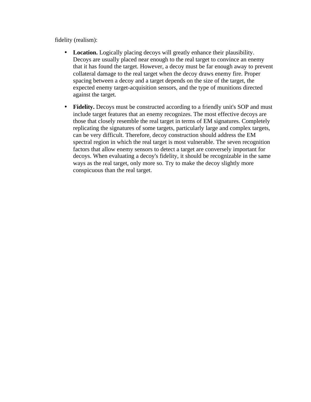fidelity (realism):

- **Location.** Logically placing decoys will greatly enhance their plausibility. Decoys are usually placed near enough to the real target to convince an enemy that it has found the target. However, a decoy must be far enough away to prevent collateral damage to the real target when the decoy draws enemy fire. Proper spacing between a decoy and a target depends on the size of the target, the expected enemy target-acquisition sensors, and the type of munitions directed against the target.
- **Fidelity.** Decoys must be constructed according to a friendly unit's SOP and must include target features that an enemy recognizes. The most effective decoys are those that closely resemble the real target in terms of EM signatures. Completely replicating the signatures of some targets, particularly large and complex targets, can be very difficult. Therefore, decoy construction should address the EM spectral region in which the real target is most vulnerable. The seven recognition factors that allow enemy sensors to detect a target are conversely important for decoys. When evaluating a decoy's fidelity, it should be recognizable in the same ways as the real target, only more so. Try to make the decoy slightly more conspicuous than the real target.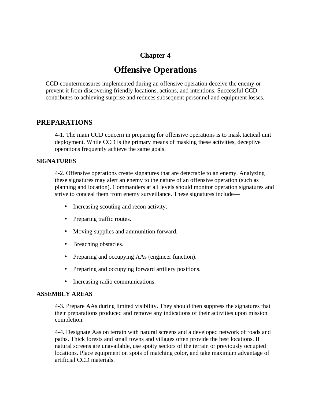## **Chapter 4**

## **Offensive Operations**

CCD countermeasures implemented during an offensive operation deceive the enemy or prevent it from discovering friendly locations, actions, and intentions. Successful CCD contributes to achieving surprise and reduces subsequent personnel and equipment losses.

## **PREPARATIONS**

4-1. The main CCD concern in preparing for offensive operations is to mask tactical unit deployment. While CCD is the primary means of masking these activities, deceptive operations frequently achieve the same goals.

#### **SIGNATURES**

4-2. Offensive operations create signatures that are detectable to an enemy. Analyzing these signatures may alert an enemy to the nature of an offensive operation (such as planning and location). Commanders at all levels should monitor operation signatures and strive to conceal them from enemy surveillance. These signatures include—

- Increasing scouting and recon activity.
- Preparing traffic routes.
- Moving supplies and ammunition forward.
- Breaching obstacles.
- Preparing and occupying AAs (engineer function).
- Preparing and occupying forward artillery positions.
- Increasing radio communications.

#### **ASSEMBLY AREAS**

4-3. Prepare AAs during limited visibility. They should then suppress the signatures that their preparations produced and remove any indications of their activities upon mission completion.

4-4. Designate Aas on terrain with natural screens and a developed network of roads and paths. Thick forests and small towns and villages often provide the best locations. If natural screens are unavailable, use spotty sectors of the terrain or previously occupied locations. Place equipment on spots of matching color, and take maximum advantage of artificial CCD materials.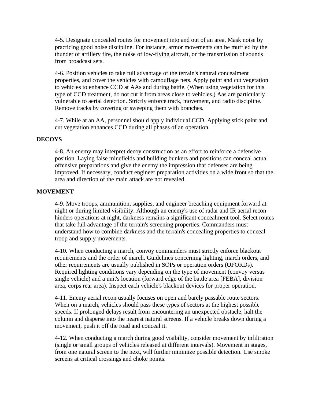4-5. Designate concealed routes for movement into and out of an area. Mask noise by practicing good noise discipline. For instance, armor movements can be muffled by the thunder of artillery fire, the noise of low-flying aircraft, or the transmission of sounds from broadcast sets.

4-6. Position vehicles to take full advantage of the terrain's natural concealment properties, and cover the vehicles with camouflage nets. Apply paint and cut vegetation to vehicles to enhance CCD at AAs and during battle. (When using vegetation for this type of CCD treatment, do not cut it from areas close to vehicles.) Aas are particularly vulnerable to aerial detection. Strictly enforce track, movement, and radio discipline. Remove tracks by covering or sweeping them with branches.

4-7. While at an AA, personnel should apply individual CCD. Applying stick paint and cut vegetation enhances CCD during all phases of an operation.

#### **DECOYS**

4-8. An enemy may interpret decoy construction as an effort to reinforce a defensive position. Laying false minefields and building bunkers and positions can conceal actual offensive preparations and give the enemy the impression that defenses are being improved. If necessary, conduct engineer preparation activities on a wide front so that the area and direction of the main attack are not revealed.

## **MOVEMENT**

4-9. Move troops, ammunition, supplies, and engineer breaching equipment forward at night or during limited visibility. Although an enemy's use of radar and IR aerial recon hinders operations at night, darkness remains a significant concealment tool. Select routes that take full advantage of the terrain's screening properties. Commanders must understand how to combine darkness and the terrain's concealing properties to conceal troop and supply movements.

4-10. When conducting a march, convoy commanders must strictly enforce blackout requirements and the order of march. Guidelines concerning lighting, march orders, and other requirements are usually published in SOPs or operation orders (OPORDs). Required lighting conditions vary depending on the type of movement (convoy versus single vehicle) and a unit's location (forward edge of the battle area [FEBA], division area, corps rear area). Inspect each vehicle's blackout devices for proper operation.

4-11. Enemy aerial recon usually focuses on open and barely passable route sectors. When on a march, vehicles should pass these types of sectors at the highest possible speeds. If prolonged delays result from encountering an unexpected obstacle, halt the column and disperse into the nearest natural screens. If a vehicle breaks down during a movement, push it off the road and conceal it.

4-12. When conducting a march during good visibility, consider movement by infiltration (single or small groups of vehicles released at different intervals). Movement in stages, from one natural screen to the next, will further minimize possible detection. Use smoke screens at critical crossings and choke points.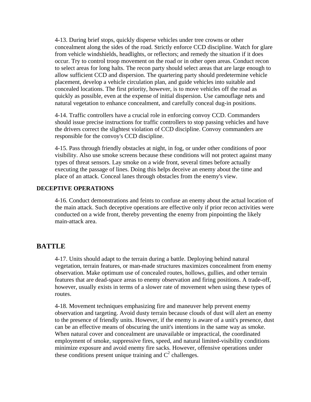4-13. During brief stops, quickly disperse vehicles under tree crowns or other concealment along the sides of the road. Strictly enforce CCD discipline. Watch for glare from vehicle windshields, headlights, or reflectors; and remedy the situation if it does occur. Try to control troop movement on the road or in other open areas. Conduct recon to select areas for long halts. The recon party should select areas that are large enough to allow sufficient CCD and dispersion. The quartering party should predetermine vehicle placement, develop a vehicle circulation plan, and guide vehicles into suitable and concealed locations. The first priority, however, is to move vehicles off the road as quickly as possible, even at the expense of initial dispersion. Use camouflage nets and natural vegetation to enhance concealment, and carefully conceal dug-in positions.

4-14. Traffic controllers have a crucial role in enforcing convoy CCD. Commanders should issue precise instructions for traffic controllers to stop passing vehicles and have the drivers correct the slightest violation of CCD discipline. Convoy commanders are responsible for the convoy's CCD discipline.

4-15. Pass through friendly obstacles at night, in fog, or under other conditions of poor visibility. Also use smoke screens because these conditions will not protect against many types of threat sensors. Lay smoke on a wide front, several times before actually executing the passage of lines. Doing this helps deceive an enemy about the time and place of an attack. Conceal lanes through obstacles from the enemy's view.

### **DECEPTIVE OPERATIONS**

4-16. Conduct demonstrations and feints to confuse an enemy about the actual location of the main attack. Such deceptive operations are effective only if prior recon activities were conducted on a wide front, thereby preventing the enemy from pinpointing the likely main-attack area.

## **BATTLE**

4-17. Units should adapt to the terrain during a battle. Deploying behind natural vegetation, terrain features, or man-made structures maximizes concealment from enemy observation. Make optimum use of concealed routes, hollows, gullies, and other terrain features that are dead-space areas to enemy observation and firing positions. A trade-off, however, usually exists in terms of a slower rate of movement when using these types of routes.

4-18. Movement techniques emphasizing fire and maneuver help prevent enemy observation and targeting. Avoid dusty terrain because clouds of dust will alert an enemy to the presence of friendly units. However, if the enemy is aware of a unit's presence, dust can be an effective means of obscuring the unit's intentions in the same way as smoke. When natural cover and concealment are unavailable or impractical, the coordinated employment of smoke, suppressive fires, speed, and natural limited-visibility conditions minimize exposure and avoid enemy fire sacks. However, offensive operations under these conditions present unique training and  $C^2$  challenges.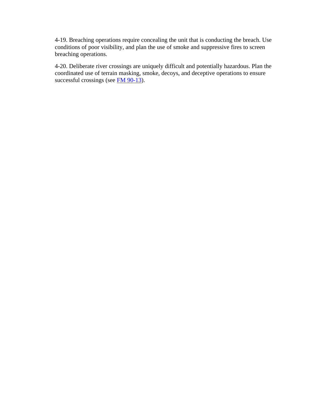4-19. Breaching operations require concealing the unit that is conducting the breach. Use conditions of poor visibility, and plan the use of smoke and suppressive fires to screen breaching operations.

4-20. Deliberate river crossings are uniquely difficult and potentially hazardous. Plan the coordinated use of terrain masking, smoke, decoys, and deceptive operations to ensure successful crossings (see **FM 90-13**).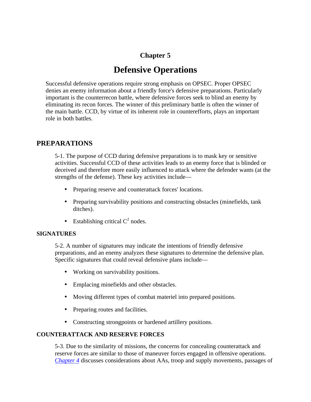# **Chapter 5**

# **Defensive Operations**

Successful defensive operations require strong emphasis on OPSEC. Proper OPSEC denies an enemy information about a friendly force's defensive preparations. Particularly important is the counterrecon battle, where defensive forces seek to blind an enemy by eliminating its recon forces. The winner of this preliminary battle is often the winner of the main battle. CCD, by virtue of its inherent role in counterefforts, plays an important role in both battles.

## **PREPARATIONS**

5-1. The purpose of CCD during defensive preparations is to mask key or sensitive activities. Successful CCD of these activities leads to an enemy force that is blinded or deceived and therefore more easily influenced to attack where the defender wants (at the strengths of the defense). These key activities include—

- Preparing reserve and counterattack forces' locations.
- Preparing survivability positions and constructing obstacles (minefields, tank ditches).
- Establishing critical  $C^2$  nodes.

## **SIGNATURES**

5-2. A number of signatures may indicate the intentions of friendly defensive preparations, and an enemy analyzes these signatures to determine the defensive plan. Specific signatures that could reveal defensive plans include—

- Working on survivability positions.
- Emplacing minefields and other obstacles.
- Moving different types of combat materiel into prepared positions.
- Preparing routes and facilities.
- Constructing strongpoints or hardened artillery positions.

#### **COUNTERATTACK AND RESERVE FORCES**

5-3. Due to the similarity of missions, the concerns for concealing counterattack and reserve forces are similar to those of maneuver forces engaged in offensive operations. *Chapter 4* discusses considerations about AAs, troop and supply movements, passages of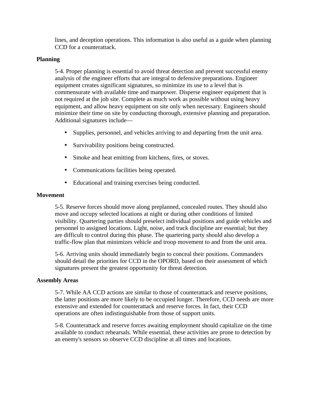lines, and deception operations. This information is also useful as a guide when planning CCD for a counterattack.

#### **Planning**

5-4. Proper planning is essential to avoid threat detection and prevent successful enemy analysis of the engineer efforts that are integral to defensive preparations. Engineer equipment creates significant signatures, so minimize its use to a level that is commensurate with available time and manpower. Disperse engineer equipment that is not required at the job site. Complete as much work as possible without using heavy equipment, and allow heavy equipment on site only when necessary. Engineers should minimize their time on site by conducting thorough, extensive planning and preparation. Additional signatures include—

- Supplies, personnel, and vehicles arriving to and departing from the unit area.
- Survivability positions being constructed.
- Smoke and heat emitting from kitchens, fires, or stoves.
- Communications facilities being operated.
- Educational and training exercises being conducted.

#### **Movement**

5-5. Reserve forces should move along preplanned, concealed routes. They should also move and occupy selected locations at night or during other conditions of limited visibility. Quartering parties should preselect individual positions and guide vehicles and personnel to assigned locations. Light, noise, and track discipline are essential; but they are difficult to control during this phase. The quartering party should also develop a traffic-flow plan that minimizes vehicle and troop movement to and from the unit area.

5-6. Arriving units should immediately begin to conceal their positions. Commanders should detail the priorities for CCD in the OPORD, based on their assessment of which signatures present the greatest opportunity for threat detection.

#### **Assembly Areas**

5-7. While AA CCD actions are similar to those of counterattack and reserve positions, the latter positions are more likely to be occupied longer. Therefore, CCD needs are more extensive and extended for counterattack and reserve forces. In fact, their CCD operations are often indistinguishable from those of support units.

5-8. Counterattack and reserve forces awaiting employment should capitalize on the time available to conduct rehearsals. While essential, these activities are prone to detection by an enemy's sensors so observe CCD discipline at all times and locations.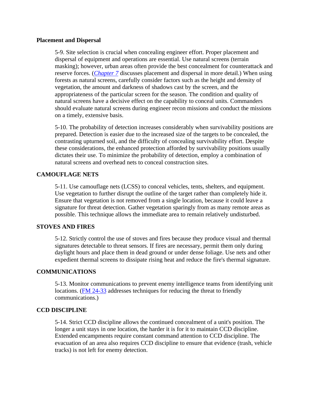#### **Placement and Dispersal**

5-9. Site selection is crucial when concealing engineer effort. Proper placement and dispersal of equipment and operations are essential. Use natural screens (terrain masking); however, urban areas often provide the best concealment for counterattack and reserve forces. (*Chapter 7* discusses placement and dispersal in more detail.) When using forests as natural screens, carefully consider factors such as the height and density of vegetation, the amount and darkness of shadows cast by the screen, and the appropriateness of the particular screen for the season. The condition and quality of natural screens have a decisive effect on the capability to conceal units. Commanders should evaluate natural screens during engineer recon missions and conduct the missions on a timely, extensive basis.

5-10. The probability of detection increases considerably when survivability positions are prepared. Detection is easier due to the increased size of the targets to be concealed, the contrasting upturned soil, and the difficulty of concealing survivability effort. Despite these considerations, the enhanced protection afforded by survivability positions usually dictates their use. To minimize the probability of detection, employ a combination of natural screens and overhead nets to conceal construction sites.

### **CAMOUFLAGE NETS**

5-11. Use camouflage nets (LCSS) to conceal vehicles, tents, shelters, and equipment. Use vegetation to further disrupt the outline of the target rather than completely hide it. Ensure that vegetation is not removed from a single location, because it could leave a signature for threat detection. Gather vegetation sparingly from as many remote areas as possible. This technique allows the immediate area to remain relatively undisturbed.

#### **STOVES AND FIRES**

5-12. Strictly control the use of stoves and fires because they produce visual and thermal signatures detectable to threat sensors. If fires are necessary, permit them only during daylight hours and place them in dead ground or under dense foliage. Use nets and other expedient thermal screens to dissipate rising heat and reduce the fire's thermal signature.

#### **COMMUNICATIONS**

5-13. Monitor communications to prevent enemy intelligence teams from identifying unit locations. (FM 24-33 addresses techniques for reducing the threat to friendly communications.)

#### **CCD DISCIPLINE**

5-14. Strict CCD discipline allows the continued concealment of a unit's position. The longer a unit stays in one location, the harder it is for it to maintain CCD discipline. Extended encampments require constant command attention to CCD discipline. The evacuation of an area also requires CCD discipline to ensure that evidence (trash, vehicle tracks) is not left for enemy detection.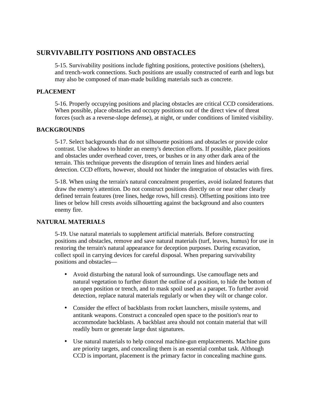# **SURVIVABILITY POSITIONS AND OBSTACLES**

5-15. Survivability positions include fighting positions, protective positions (shelters), and trench-work connections. Such positions are usually constructed of earth and logs but may also be composed of man-made building materials such as concrete.

## **PLACEMENT**

5-16. Properly occupying positions and placing obstacles are critical CCD considerations. When possible, place obstacles and occupy positions out of the direct view of threat forces (such as a reverse-slope defense), at night, or under conditions of limited visibility.

## **BACKGROUNDS**

5-17. Select backgrounds that do not silhouette positions and obstacles or provide color contrast. Use shadows to hinder an enemy's detection efforts. If possible, place positions and obstacles under overhead cover, trees, or bushes or in any other dark area of the terrain. This technique prevents the disruption of terrain lines and hinders aerial detection. CCD efforts, however, should not hinder the integration of obstacles with fires.

5-18. When using the terrain's natural concealment properties, avoid isolated features that draw the enemy's attention. Do not construct positions directly on or near other clearly defined terrain features (tree lines, hedge rows, hill crests). Offsetting positions into tree lines or below hill crests avoids silhouetting against the background and also counters enemy fire.

## **NATURAL MATERIALS**

5-19. Use natural materials to supplement artificial materials. Before constructing positions and obstacles, remove and save natural materials (turf, leaves, humus) for use in restoring the terrain's natural appearance for deception purposes. During excavation, collect spoil in carrying devices for careful disposal. When preparing survivability positions and obstacles—

- Avoid disturbing the natural look of surroundings. Use camouflage nets and natural vegetation to further distort the outline of a position, to hide the bottom of an open position or trench, and to mask spoil used as a parapet. To further avoid detection, replace natural materials regularly or when they wilt or change color.
- Consider the effect of backblasts from rocket launchers, missile systems, and antitank weapons. Construct a concealed open space to the position's rear to accommodate backblasts. A backblast area should not contain material that will readily burn or generate large dust signatures.
- Use natural materials to help conceal machine-gun emplacements. Machine guns are priority targets, and concealing them is an essential combat task. Although CCD is important, placement is the primary factor in concealing machine guns.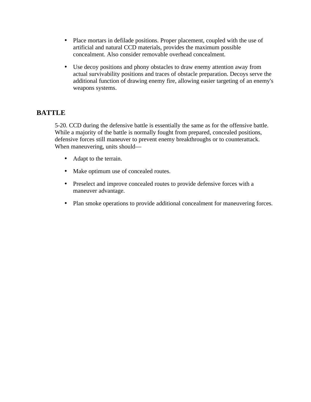- Place mortars in defilade positions. Proper placement, coupled with the use of artificial and natural CCD materials, provides the maximum possible concealment. Also consider removable overhead concealment.
- Use decoy positions and phony obstacles to draw enemy attention away from actual survivability positions and traces of obstacle preparation. Decoys serve the additional function of drawing enemy fire, allowing easier targeting of an enemy's weapons systems.

# **BATTLE**

5-20. CCD during the defensive battle is essentially the same as for the offensive battle. While a majority of the battle is normally fought from prepared, concealed positions, defensive forces still maneuver to prevent enemy breakthroughs or to counterattack. When maneuvering, units should—

- Adapt to the terrain.
- Make optimum use of concealed routes.
- Preselect and improve concealed routes to provide defensive forces with a maneuver advantage.
- Plan smoke operations to provide additional concealment for maneuvering forces.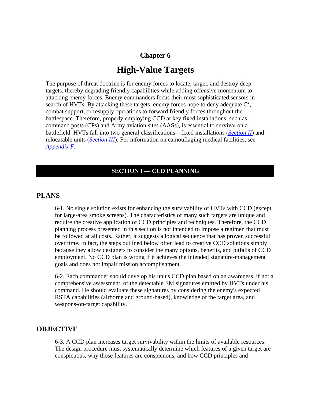## **Chapter 6**

# **High-Value Targets**

The purpose of threat doctrine is for enemy forces to locate, target, and destroy deep targets, thereby degrading friendly capabilities while adding offensive momentum to attacking enemy forces. Enemy commanders focus their most sophisticated sensors in search of HVTs. By attacking these targets, enemy forces hope to deny adequate  $C^2$ , combat support, or resupply operations to forward friendly forces throughout the battlespace. Therefore, properly employing CCD at key fixed installations, such as command posts (CPs) and Army aviation sites (AASs), is essential to survival on a battlefield. HVTs fall into two general classifications—fixed installations (*Section II*) and relocatable units (*Section III*). For information on camouflaging medical facilities, see *Appendix F*.

# **SECTION I — CCD PLANNING**

## **PLANS**

6-1. No single solution exists for enhancing the survivability of HVTs with CCD (except for large-area smoke screens). The characteristics of many such targets are unique and require the creative application of CCD principles and techniques. Therefore, the CCD planning process presented in this section is not intended to impose a regimen that must be followed at all costs. Rather, it suggests a logical sequence that has proven successful over time. In fact, the steps outlined below often lead to creative CCD solutions simply because they allow designers to consider the many options, benefits, and pitfalls of CCD employment. No CCD plan is wrong if it achieves the intended signature-management goals and does not impair mission accomplishment.

6-2. Each commander should develop his unit's CCD plan based on an awareness, if not a comprehensive assessment, of the detectable EM signatures emitted by HVTs under his command. He should evaluate these signatures by considering the enemy's expected RSTA capabilities (airborne and ground-based), knowledge of the target area, and weapons-on-target capability.

### **OBJECTIVE**

6-3. A CCD plan increases target survivability within the limits of available resources. The design procedure must systematically determine which features of a given target are conspicuous, why those features are conspicuous, and how CCD principles and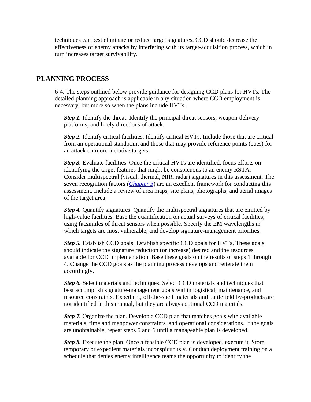techniques can best eliminate or reduce target signatures. CCD should decrease the effectiveness of enemy attacks by interfering with its target-acquisition process, which in turn increases target survivability.

## **PLANNING PROCESS**

6-4. The steps outlined below provide guidance for designing CCD plans for HVTs. The detailed planning approach is applicable in any situation where CCD employment is necessary, but more so when the plans include HVTs.

*Step 1.* Identify the threat. Identify the principal threat sensors, weapon-delivery platforms, and likely directions of attack.

*Step 2.* Identify critical facilities. Identify critical HVTs. Include those that are critical from an operational standpoint and those that may provide reference points (cues) for an attack on more lucrative targets.

*Step 3.* Evaluate facilities. Once the critical HVTs are identified, focus efforts on identifying the target features that might be conspicuous to an enemy RSTA. Consider multispectral (visual, thermal, NIR, radar) signatures in this assessment. The seven recognition factors (*Chapter 3*) are an excellent framework for conducting this assessment. Include a review of area maps, site plans, photographs, and aerial images of the target area.

*Step 4.* Quantify signatures. Quantify the multispectral signatures that are emitted by high-value facilities. Base the quantification on actual surveys of critical facilities, using facsimiles of threat sensors when possible. Specify the EM wavelengths in which targets are most vulnerable, and develop signature-management priorities.

*Step 5.* Establish CCD goals. Establish specific CCD goals for HVTs. These goals should indicate the signature reduction (or increase) desired and the resources available for CCD implementation. Base these goals on the results of steps 1 through 4. Change the CCD goals as the planning process develops and reiterate them accordingly.

*Step 6.* Select materials and techniques. Select CCD materials and techniques that best accomplish signature-management goals within logistical, maintenance, and resource constraints. Expedient, off-the-shelf materials and battlefield by-products are not identified in this manual, but they are always optional CCD materials.

*Step 7.* Organize the plan. Develop a CCD plan that matches goals with available materials, time and manpower constraints, and operational considerations. If the goals are unobtainable, repeat steps 5 and 6 until a manageable plan is developed.

*Step 8.* Execute the plan. Once a feasible CCD plan is developed, execute it. Store temporary or expedient materials inconspicuously. Conduct deployment training on a schedule that denies enemy intelligence teams the opportunity to identify the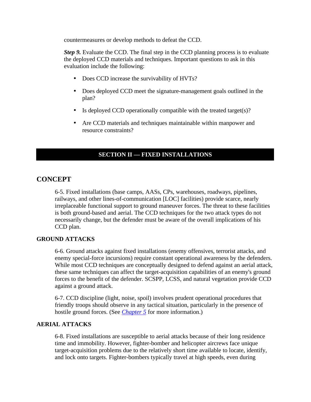countermeasures or develop methods to defeat the CCD.

*Step 9.* Evaluate the CCD. The final step in the CCD planning process is to evaluate the deployed CCD materials and techniques. Important questions to ask in this evaluation include the following:

- Does CCD increase the survivability of HVTs?
- Does deployed CCD meet the signature-management goals outlined in the plan?
- Is deployed CCD operationally compatible with the treated target(s)?
- Are CCD materials and techniques maintainable within manpower and resource constraints?

# **SECTION II — FIXED INSTALLATIONS**

## **CONCEPT**

6-5. Fixed installations (base camps, AASs, CPs, warehouses, roadways, pipelines, railways, and other lines-of-communication [LOC] facilities) provide scarce, nearly irreplaceable functional support to ground maneuver forces. The threat to these facilities is both ground-based and aerial. The CCD techniques for the two attack types do not necessarily change, but the defender must be aware of the overall implications of his CCD plan.

#### **GROUND ATTACKS**

6-6. Ground attacks against fixed installations (enemy offensives, terrorist attacks, and enemy special-force incursions) require constant operational awareness by the defenders. While most CCD techniques are conceptually designed to defend against an aerial attack, these same techniques can affect the target-acquisition capabilities of an enemy's ground forces to the benefit of the defender. SCSPP, LCSS, and natural vegetation provide CCD against a ground attack.

6-7. CCD discipline (light, noise, spoil) involves prudent operational procedures that friendly troops should observe in any tactical situation, particularly in the presence of hostile ground forces. (See *Chapter 5* for more information.)

#### **AERIAL ATTACKS**

6-8. Fixed installations are susceptible to aerial attacks because of their long residence time and immobility. However, fighter-bomber and helicopter aircrews face unique target-acquisition problems due to the relatively short time available to locate, identify, and lock onto targets. Fighter-bombers typically travel at high speeds, even during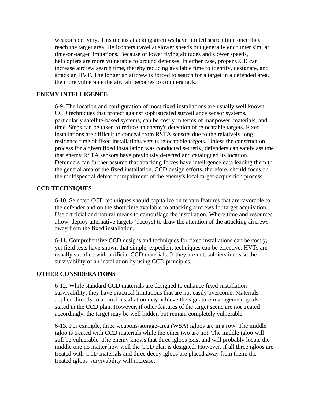weapons delivery. This means attacking aircrews have limited search time once they reach the target area. Helicopters travel at slower speeds but generally encounter similar time-on-target limitations. Because of lower flying altitudes and slower speeds, helicopters are more vulnerable to ground defenses. In either case, proper CCD can increase aircrew search time, thereby reducing available time to identify, designate, and attack an HVT. The longer an aircrew is forced to search for a target in a defended area, the more vulnerable the aircraft becomes to counterattack.

#### **ENEMY INTELLIGENCE**

6-9. The location and configuration of most fixed installations are usually well known. CCD techniques that protect against sophisticated surveillance sensor systems, particularly satellite-based systems, can be costly in terms of manpower, materials, and time. Steps can be taken to reduce an enemy's detection of relocatable targets. Fixed installations are difficult to conceal from RSTA sensors due to the relatively long residence time of fixed installations versus relocatable targets. Unless the construction process for a given fixed installation was conducted secretly, defenders can safely assume that enemy RSTA sensors have previously detected and catalogued its location. Defenders can further assume that attacking forces have intelligence data leading them to the general area of the fixed installation. CCD design efforts, therefore, should focus on the multispectral defeat or impairment of the enemy's local target-acquisition process.

#### **CCD TECHNIQUES**

6-10. Selected CCD techniques should capitalize on terrain features that are favorable to the defender and on the short time available to attacking aircrews for target acquisition. Use artificial and natural means to camouflage the installation. Where time and resources allow, deploy alternative targets (decoys) to draw the attention of the attacking aircrews away from the fixed installation.

6-11. Comprehensive CCD designs and techniques for fixed installations can be costly, yet field tests have shown that simple, expedient techniques can be effective. HVTs are usually supplied with artificial CCD materials. If they are not, soldiers increase the survivability of an installation by using CCD principles.

#### **OTHER CONSIDERATIONS**

6-12. While standard CCD materials are designed to enhance fixed-installation survivability, they have practical limitations that are not easily overcome. Materials applied directly to a fixed installation may achieve the signature-management goals stated in the CCD plan. However, if other features of the target scene are not treated accordingly, the target may be well hidden but remain completely vulnerable.

6-13. For example, three weapons-storage-area (WSA) igloos are in a row. The middle igloo is treated with CCD materials while the other two are not. The middle igloo will still be vulnerable. The enemy knows that three igloos exist and will probably locate the middle one no matter how well the CCD plan is designed. However, if all three igloos are treated with CCD materials and three decoy igloos are placed away from them, the treated igloos' survivability will increase.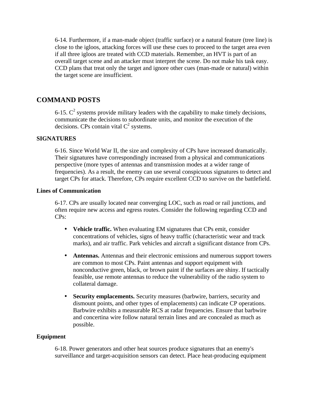6-14. Furthermore, if a man-made object (traffic surface) or a natural feature (tree line) is close to the igloos, attacking forces will use these cues to proceed to the target area even if all three igloos are treated with CCD materials. Remember, an HVT is part of an overall target scene and an attacker must interpret the scene. Do not make his task easy. CCD plans that treat only the target and ignore other cues (man-made or natural) within the target scene are insufficient.

# **COMMAND POSTS**

6-15.  $C^2$  systems provide military leaders with the capability to make timely decisions, communicate the decisions to subordinate units, and monitor the execution of the decisions. CPs contain vital  $C^2$  systems.

## **SIGNATURES**

6-16. Since World War II, the size and complexity of CPs have increased dramatically. Their signatures have correspondingly increased from a physical and communications perspective (more types of antennas and transmission modes at a wider range of frequencies). As a result, the enemy can use several conspicuous signatures to detect and target CPs for attack. Therefore, CPs require excellent CCD to survive on the battlefield.

#### **Lines of Communication**

6-17. CPs are usually located near converging LOC, such as road or rail junctions, and often require new access and egress routes. Consider the following regarding CCD and CPs:

- **Vehicle traffic.** When evaluating EM signatures that CPs emit, consider concentrations of vehicles, signs of heavy traffic (characteristic wear and track marks), and air traffic. Park vehicles and aircraft a significant distance from CPs.
- **Antennas.** Antennas and their electronic emissions and numerous support towers are common to most CPs. Paint antennas and support equipment with nonconductive green, black, or brown paint if the surfaces are shiny. If tactically feasible, use remote antennas to reduce the vulnerability of the radio system to collateral damage.
- **Security emplacements.** Security measures (barbwire, barriers, security and dismount points, and other types of emplacements) can indicate CP operations. Barbwire exhibits a measurable RCS at radar frequencies. Ensure that barbwire and concertina wire follow natural terrain lines and are concealed as much as possible.

## **Equipment**

6-18. Power generators and other heat sources produce signatures that an enemy's surveillance and target-acquisition sensors can detect. Place heat-producing equipment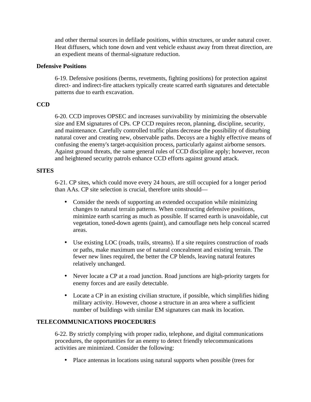and other thermal sources in defilade positions, within structures, or under natural cover. Heat diffusers, which tone down and vent vehicle exhaust away from threat direction, are an expedient means of thermal-signature reduction.

#### **Defensive Positions**

6-19. Defensive positions (berms, revetments, fighting positions) for protection against direct- and indirect-fire attackers typically create scarred earth signatures and detectable patterns due to earth excavation.

## **CCD**

6-20. CCD improves OPSEC and increases survivability by minimizing the observable size and EM signatures of CPs. CP CCD requires recon, planning, discipline, security, and maintenance. Carefully controlled traffic plans decrease the possibility of disturbing natural cover and creating new, observable paths. Decoys are a highly effective means of confusing the enemy's target-acquisition process, particularly against airborne sensors. Against ground threats, the same general rules of CCD discipline apply; however, recon and heightened security patrols enhance CCD efforts against ground attack.

## **SITES**

6-21. CP sites, which could move every 24 hours, are still occupied for a longer period than AAs. CP site selection is crucial, therefore units should—

- Consider the needs of supporting an extended occupation while minimizing changes to natural terrain patterns. When constructing defensive positions, minimize earth scarring as much as possible. If scarred earth is unavoidable, cut vegetation, toned-down agents (paint), and camouflage nets help conceal scarred areas.
- Use existing LOC (roads, trails, streams). If a site requires construction of roads or paths, make maximum use of natural concealment and existing terrain. The fewer new lines required, the better the CP blends, leaving natural features relatively unchanged.
- Never locate a CP at a road junction. Road junctions are high-priority targets for enemy forces and are easily detectable.
- Locate a CP in an existing civilian structure, if possible, which simplifies hiding military activity. However, choose a structure in an area where a sufficient number of buildings with similar EM signatures can mask its location.

## **TELECOMMUNICATIONS PROCEDURES**

6-22. By strictly complying with proper radio, telephone, and digital communications procedures, the opportunities for an enemy to detect friendly telecommunications activities are minimized. Consider the following:

• Place antennas in locations using natural supports when possible (trees for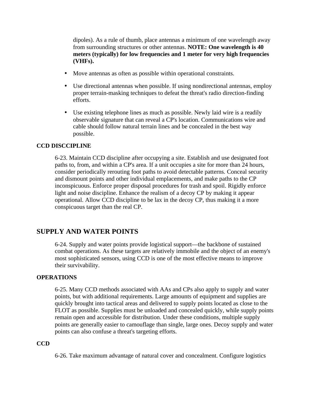dipoles). As a rule of thumb, place antennas a minimum of one wavelength away from surrounding structures or other antennas. **NOTE: One wavelength is 40 meters (typically) for low frequencies and 1 meter for very high frequencies (VHFs).**

- Move antennas as often as possible within operational constraints.
- Use directional antennas when possible. If using nondirectional antennas, employ proper terrain-masking techniques to defeat the threat's radio direction-finding efforts.
- Use existing telephone lines as much as possible. Newly laid wire is a readily observable signature that can reveal a CP's location. Communications wire and cable should follow natural terrain lines and be concealed in the best way possible.

### **CCD DISCCIPLINE**

6-23. Maintain CCD discipline after occupying a site. Establish and use designated foot paths to, from, and within a CP's area. If a unit occupies a site for more than 24 hours, consider periodically rerouting foot paths to avoid detectable patterns. Conceal security and dismount points and other individual emplacements, and make paths to the CP inconspicuous. Enforce proper disposal procedures for trash and spoil. Rigidly enforce light and noise discipline. Enhance the realism of a decoy CP by making it appear operational. Allow CCD discipline to be lax in the decoy CP, thus making it a more conspicuous target than the real CP.

# **SUPPLY AND WATER POINTS**

6-24. Supply and water points provide logistical support—the backbone of sustained combat operations. As these targets are relatively immobile and the object of an enemy's most sophisticated sensors, using CCD is one of the most effective means to improve their survivability.

#### **OPERATIONS**

6-25. Many CCD methods associated with AAs and CPs also apply to supply and water points, but with additional requirements. Large amounts of equipment and supplies are quickly brought into tactical areas and delivered to supply points located as close to the FLOT as possible. Supplies must be unloaded and concealed quickly, while supply points remain open and accessible for distribution. Under these conditions, multiple supply points are generally easier to camouflage than single, large ones. Decoy supply and water points can also confuse a threat's targeting efforts.

## **CCD**

6-26. Take maximum advantage of natural cover and concealment. Configure logistics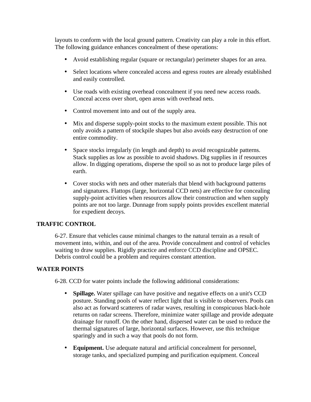layouts to conform with the local ground pattern. Creativity can play a role in this effort. The following guidance enhances concealment of these operations:

- Avoid establishing regular (square or rectangular) perimeter shapes for an area.
- Select locations where concealed access and egress routes are already established and easily controlled.
- Use roads with existing overhead concealment if you need new access roads. Conceal access over short, open areas with overhead nets.
- Control movement into and out of the supply area.
- Mix and disperse supply-point stocks to the maximum extent possible. This not only avoids a pattern of stockpile shapes but also avoids easy destruction of one entire commodity.
- Space stocks irregularly (in length and depth) to avoid recognizable patterns. Stack supplies as low as possible to avoid shadows. Dig supplies in if resources allow. In digging operations, disperse the spoil so as not to produce large piles of earth.
- Cover stocks with nets and other materials that blend with background patterns and signatures. Flattops (large, horizontal CCD nets) are effective for concealing supply-point activities when resources allow their construction and when supply points are not too large. Dunnage from supply points provides excellent material for expedient decoys.

## **TRAFFIC CONTROL**

6-27. Ensure that vehicles cause minimal changes to the natural terrain as a result of movement into, within, and out of the area. Provide concealment and control of vehicles waiting to draw supplies. Rigidly practice and enforce CCD discipline and OPSEC. Debris control could be a problem and requires constant attention.

## **WATER POINTS**

6-28. CCD for water points include the following additional considerations:

- **Spillage.** Water spillage can have positive and negative effects on a unit's CCD posture. Standing pools of water reflect light that is visible to observers. Pools can also act as forward scatterers of radar waves, resulting in conspicuous black-hole returns on radar screens. Therefore, minimize water spillage and provide adequate drainage for runoff. On the other hand, dispersed water can be used to reduce the thermal signatures of large, horizontal surfaces. However, use this technique sparingly and in such a way that pools do not form.
- **Equipment.** Use adequate natural and artificial concealment for personnel, storage tanks, and specialized pumping and purification equipment. Conceal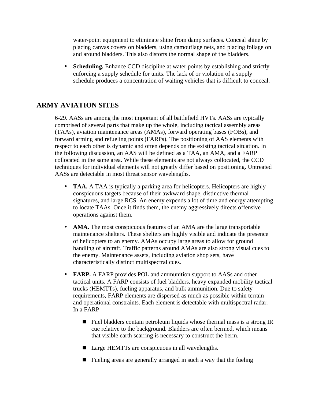water-point equipment to eliminate shine from damp surfaces. Conceal shine by placing canvas covers on bladders, using camouflage nets, and placing foliage on and around bladders. This also distorts the normal shape of the bladders.

• **Scheduling.** Enhance CCD discipline at water points by establishing and strictly enforcing a supply schedule for units. The lack of or violation of a supply schedule produces a concentration of waiting vehicles that is difficult to conceal.

# **ARMY AVIATION SITES**

6-29. AASs are among the most important of all battlefield HVTs. AASs are typically comprised of several parts that make up the whole, including tactical assembly areas (TAAs), aviation maintenance areas (AMAs), forward operating bases (FOBs), and forward arming and refueling points (FARPs). The positioning of AAS elements with respect to each other is dynamic and often depends on the existing tactical situation. In the following discussion, an AAS will be defined as a TAA, an AMA, and a FARP collocated in the same area. While these elements are not always collocated, the CCD techniques for individual elements will not greatly differ based on positioning. Untreated AASs are detectable in most threat sensor wavelengths.

- **TAA.** A TAA is typically a parking area for helicopters. Helicopters are highly conspicuous targets because of their awkward shape, distinctive thermal signatures, and large RCS. An enemy expends a lot of time and energy attempting to locate TAAs. Once it finds them, the enemy aggressively directs offensive operations against them.
- **AMA.** The most conspicuous features of an AMA are the large transportable maintenance shelters. These shelters are highly visible and indicate the presence of helicopters to an enemy. AMAs occupy large areas to allow for ground handling of aircraft. Traffic patterns around AMAs are also strong visual cues to the enemy. Maintenance assets, including aviation shop sets, have characteristically distinct multispectral cues.
- **FARP.** A FARP provides POL and ammunition support to AASs and other tactical units. A FARP consists of fuel bladders, heavy expanded mobility tactical trucks (HEMTTs), fueling apparatus, and bulk ammunition. Due to safety requirements, FARP elements are dispersed as much as possible within terrain and operational constraints. Each element is detectable with multispectral radar. In a FARP—
	- $\blacksquare$  Fuel bladders contain petroleum liquids whose thermal mass is a strong IR cue relative to the background. Bladders are often bermed, which means that visible earth scarring is necessary to construct the berm.
	- $\blacksquare$  Large HEMTTs are conspicuous in all wavelengths.
	- Fueling areas are generally arranged in such a way that the fueling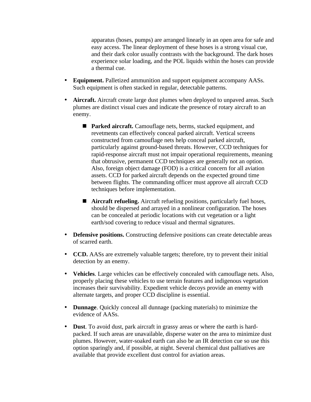apparatus (hoses, pumps) are arranged linearly in an open area for safe and easy access. The linear deployment of these hoses is a strong visual cue, and their dark color usually contrasts with the background. The dark hoses experience solar loading, and the POL liquids within the hoses can provide a thermal cue.

- **Equipment.** Palletized ammunition and support equipment accompany AASs. Such equipment is often stacked in regular, detectable patterns.
- **Aircraft.** Aircraft create large dust plumes when deployed to unpaved areas. Such plumes are distinct visual cues and indicate the presence of rotary aircraft to an enemy.
	- **Parked aircraft.** Camouflage nets, berms, stacked equipment, and revetments can effectively conceal parked aircraft. Vertical screens constructed from camouflage nets help conceal parked aircraft, particularly against ground-based threats. However, CCD techniques for rapid-response aircraft must not impair operational requirements, meaning that obtrusive, permanent CCD techniques are generally not an option. Also, foreign object damage (FOD) is a critical concern for all aviation assets. CCD for parked aircraft depends on the expected ground time between flights. The commanding officer must approve all aircraft CCD techniques before implementation.
	- **Aircraft refueling.** Aircraft refueling positions, particularly fuel hoses, should be dispersed and arrayed in a nonlinear configuration. The hoses can be concealed at periodic locations with cut vegetation or a light earth/sod covering to reduce visual and thermal signatures.
- **Defensive positions.** Constructing defensive positions can create detectable areas of scarred earth.
- **CCD.** AASs are extremely valuable targets; therefore, try to prevent their initial detection by an enemy.
- **Vehicles**. Large vehicles can be effectively concealed with camouflage nets. Also, properly placing these vehicles to use terrain features and indigenous vegetation increases their survivability. Expedient vehicle decoys provide an enemy with alternate targets, and proper CCD discipline is essential.
- **Dunnage**. Quickly conceal all dunnage (packing materials) to minimize the evidence of AASs.
- **Dust**. To avoid dust, park aircraft in grassy areas or where the earth is hardpacked. If such areas are unavailable, disperse water on the area to minimize dust plumes. However, water-soaked earth can also be an IR detection cue so use this option sparingly and, if possible, at night. Several chemical dust palliatives are available that provide excellent dust control for aviation areas.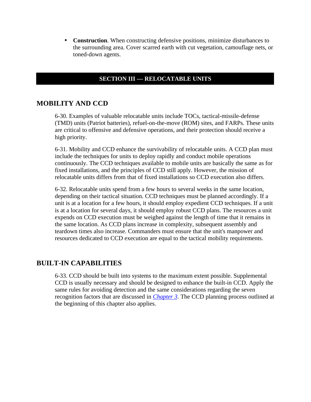• **Construction**. When constructing defensive positions, minimize disturbances to the surrounding area. Cover scarred earth with cut vegetation, camouflage nets, or toned-down agents.

## **SECTION III — RELOCATABLE UNITS**

## **MOBILITY AND CCD**

6-30. Examples of valuable relocatable units include TOCs, tactical-missile-defense (TMD) units (Patriot batteries), refuel-on-the-move (ROM) sites, and FARPs. These units are critical to offensive and defensive operations, and their protection should receive a high priority.

6-31. Mobility and CCD enhance the survivability of relocatable units. A CCD plan must include the techniques for units to deploy rapidly and conduct mobile operations continuously. The CCD techniques available to mobile units are basically the same as for fixed installations, and the principles of CCD still apply. However, the mission of relocatable units differs from that of fixed installations so CCD execution also differs.

6-32. Relocatable units spend from a few hours to several weeks in the same location, depending on their tactical situation. CCD techniques must be planned accordingly. If a unit is at a location for a few hours, it should employ expedient CCD techniques. If a unit is at a location for several days, it should employ robust CCD plans. The resources a unit expends on CCD execution must be weighed against the length of time that it remains in the same location. As CCD plans increase in complexity, subsequent assembly and teardown times also increase. Commanders must ensure that the unit's manpower and resources dedicated to CCD execution are equal to the tactical mobility requirements.

## **BUILT-IN CAPABILITIES**

6-33. CCD should be built into systems to the maximum extent possible. Supplemental CCD is usually necessary and should be designed to enhance the built-in CCD. Apply the same rules for avoiding detection and the same considerations regarding the seven recognition factors that are discussed in *Chapter 3*. The CCD planning process outlined at the beginning of this chapter also applies.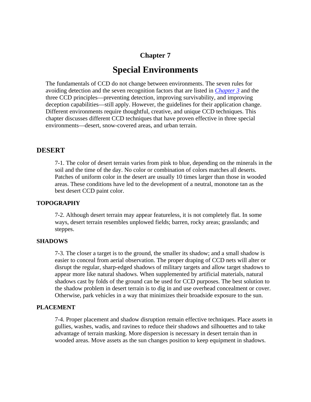# **Chapter 7**

# **Special Environments**

The fundamentals of CCD do not change between environments. The seven rules for avoiding detection and the seven recognition factors that are listed in *Chapter 3* and the three CCD principles—preventing detection, improving survivability, and improving deception capabilities—still apply. However, the guidelines for their application change. Different environments require thoughtful, creative, and unique CCD techniques. This chapter discusses different CCD techniques that have proven effective in three special environments—desert, snow-covered areas, and urban terrain.

## **DESERT**

7-1. The color of desert terrain varies from pink to blue, depending on the minerals in the soil and the time of the day. No color or combination of colors matches all deserts. Patches of uniform color in the desert are usually 10 times larger than those in wooded areas. These conditions have led to the development of a neutral, monotone tan as the best desert CCD paint color.

#### **TOPOGRAPHY**

7-2. Although desert terrain may appear featureless, it is not completely flat. In some ways, desert terrain resembles unplowed fields; barren, rocky areas; grasslands; and steppes.

#### **SHADOWS**

7-3. The closer a target is to the ground, the smaller its shadow; and a small shadow is easier to conceal from aerial observation. The proper draping of CCD nets will alter or disrupt the regular, sharp-edged shadows of military targets and allow target shadows to appear more like natural shadows. When supplemented by artificial materials, natural shadows cast by folds of the ground can be used for CCD purposes. The best solution to the shadow problem in desert terrain is to dig in and use overhead concealment or cover. Otherwise, park vehicles in a way that minimizes their broadside exposure to the sun.

#### **PLACEMENT**

7-4. Proper placement and shadow disruption remain effective techniques. Place assets in gullies, washes, wadis, and ravines to reduce their shadows and silhouettes and to take advantage of terrain masking. More dispersion is necessary in desert terrain than in wooded areas. Move assets as the sun changes position to keep equipment in shadows.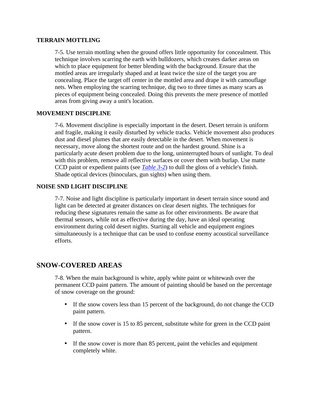#### **TERRAIN MOTTLING**

7-5. Use terrain mottling when the ground offers little opportunity for concealment. This technique involves scarring the earth with bulldozers, which creates darker areas on which to place equipment for better blending with the background. Ensure that the mottled areas are irregularly shaped and at least twice the size of the target you are concealing. Place the target off center in the mottled area and drape it with camouflage nets. When employing the scarring technique, dig two to three times as many scars as pieces of equipment being concealed. Doing this prevents the mere presence of mottled areas from giving away a unit's location.

### **MOVEMENT DISCIPLINE**

7-6. Movement discipline is especially important in the desert. Desert terrain is uniform and fragile, making it easily disturbed by vehicle tracks. Vehicle movement also produces dust and diesel plumes that are easily detectable in the desert. When movement is necessary, move along the shortest route and on the hardest ground. Shine is a particularly acute desert problem due to the long, uninterrupted hours of sunlight. To deal with this problem, remove all reflective surfaces or cover them with burlap. Use matte CCD paint or expedient paints (see *Table 3-2*) to dull the gloss of a vehicle's finish. Shade optical devices (binoculars, gun sights) when using them.

### **NOISE SND LIGHT DISCIPLINE**

7-7. Noise and light discipline is particularly important in desert terrain since sound and light can be detected at greater distances on clear desert nights. The techniques for reducing these signatures remain the same as for other environments. Be aware that thermal sensors, while not as effective during the day, have an ideal operating environment during cold desert nights. Starting all vehicle and equipment engines simultaneously is a technique that can be used to confuse enemy acoustical surveillance efforts.

## **SNOW-COVERED AREAS**

7-8. When the main background is white, apply white paint or whitewash over the permanent CCD paint pattern. The amount of painting should be based on the percentage of snow coverage on the ground:

- If the snow covers less than 15 percent of the background, do not change the CCD paint pattern.
- If the snow cover is 15 to 85 percent, substitute white for green in the CCD paint pattern.
- If the snow cover is more than 85 percent, paint the vehicles and equipment completely white.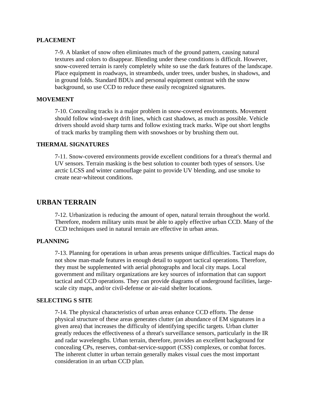#### **PLACEMENT**

7-9. A blanket of snow often eliminates much of the ground pattern, causing natural textures and colors to disappear. Blending under these conditions is difficult. However, snow-covered terrain is rarely completely white so use the dark features of the landscape. Place equipment in roadways, in streambeds, under trees, under bushes, in shadows, and in ground folds. Standard BDUs and personal equipment contrast with the snow background, so use CCD to reduce these easily recognized signatures.

#### **MOVEMENT**

7-10. Concealing tracks is a major problem in snow-covered environments. Movement should follow wind-swept drift lines, which cast shadows, as much as possible. Vehicle drivers should avoid sharp turns and follow existing track marks. Wipe out short lengths of track marks by trampling them with snowshoes or by brushing them out.

#### **THERMAL SIGNATURES**

7-11. Snow-covered environments provide excellent conditions for a threat's thermal and UV sensors. Terrain masking is the best solution to counter both types of sensors. Use arctic LCSS and winter camouflage paint to provide UV blending, and use smoke to create near-whiteout conditions.

## **URBAN TERRAIN**

7-12. Urbanization is reducing the amount of open, natural terrain throughout the world. Therefore, modern military units must be able to apply effective urban CCD. Many of the CCD techniques used in natural terrain are effective in urban areas.

#### **PLANNING**

7-13. Planning for operations in urban areas presents unique difficulties. Tactical maps do not show man-made features in enough detail to support tactical operations. Therefore, they must be supplemented with aerial photographs and local city maps. Local government and military organizations are key sources of information that can support tactical and CCD operations. They can provide diagrams of underground facilities, largescale city maps, and/or civil-defense or air-raid shelter locations.

#### **SELECTING S SITE**

7-14. The physical characteristics of urban areas enhance CCD efforts. The dense physical structure of these areas generates clutter (an abundance of EM signatures in a given area) that increases the difficulty of identifying specific targets. Urban clutter greatly reduces the effectiveness of a threat's surveillance sensors, particularly in the IR and radar wavelengths. Urban terrain, therefore, provides an excellent background for concealing CPs, reserves, combat-service-support (CSS) complexes, or combat forces. The inherent clutter in urban terrain generally makes visual cues the most important consideration in an urban CCD plan.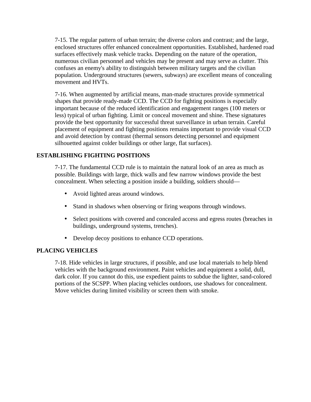7-15. The regular pattern of urban terrain; the diverse colors and contrast; and the large, enclosed structures offer enhanced concealment opportunities. Established, hardened road surfaces effectively mask vehicle tracks. Depending on the nature of the operation, numerous civilian personnel and vehicles may be present and may serve as clutter. This confuses an enemy's ability to distinguish between military targets and the civilian population. Underground structures (sewers, subways) are excellent means of concealing movement and HVTs.

7-16. When augmented by artificial means, man-made structures provide symmetrical shapes that provide ready-made CCD. The CCD for fighting positions is especially important because of the reduced identification and engagement ranges (100 meters or less) typical of urban fighting. Limit or conceal movement and shine. These signatures provide the best opportunity for successful threat surveillance in urban terrain. Careful placement of equipment and fighting positions remains important to provide visual CCD and avoid detection by contrast (thermal sensors detecting personnel and equipment silhouetted against colder buildings or other large, flat surfaces).

## **ESTABLISHING FIGHTING POSITIONS**

7-17. The fundamental CCD rule is to maintain the natural look of an area as much as possible. Buildings with large, thick walls and few narrow windows provide the best concealment. When selecting a position inside a building, soldiers should—

- Avoid lighted areas around windows.
- Stand in shadows when observing or firing weapons through windows.
- Select positions with covered and concealed access and egress routes (breaches in buildings, underground systems, trenches).
- Develop decoy positions to enhance CCD operations.

## **PLACING VEHICLES**

7-18. Hide vehicles in large structures, if possible, and use local materials to help blend vehicles with the background environment. Paint vehicles and equipment a solid, dull, dark color. If you cannot do this, use expedient paints to subdue the lighter, sand-colored portions of the SCSPP. When placing vehicles outdoors, use shadows for concealment. Move vehicles during limited visibility or screen them with smoke.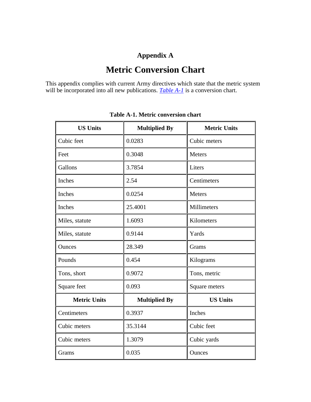# **Appendix A**

# **Metric Conversion Chart**

This appendix complies with current Army directives which state that the metric system will be incorporated into all new publications. *Table A-1* is a conversion chart.

| <b>US Units</b>     | <b>Multiplied By</b> | <b>Metric Units</b> |  |
|---------------------|----------------------|---------------------|--|
| Cubic feet          | 0.0283               | Cubic meters        |  |
| Feet                | 0.3048               | Meters              |  |
| Gallons             | 3.7854               | Liters              |  |
| Inches              | 2.54                 | Centimeters         |  |
| Inches              | 0.0254               | <b>Meters</b>       |  |
| Inches              | 25.4001              | Millimeters         |  |
| Miles, statute      | 1.6093               | Kilometers          |  |
| Miles, statute      | 0.9144               | Yards               |  |
| <b>Ounces</b>       | 28.349               | Grams               |  |
| Pounds              | 0.454                | Kilograms           |  |
| Tons, short         | 0.9072               | Tons, metric        |  |
| Square feet         | 0.093                | Square meters       |  |
| <b>Metric Units</b> | <b>Multiplied By</b> | <b>US Units</b>     |  |
| Centimeters         | 0.3937               | Inches              |  |
| Cubic meters        | 35.3144              | Cubic feet          |  |
| Cubic meters        | 1.3079               | Cubic yards         |  |
| Grams               | 0.035                | Ounces              |  |

**Table A-1. Metric conversion chart**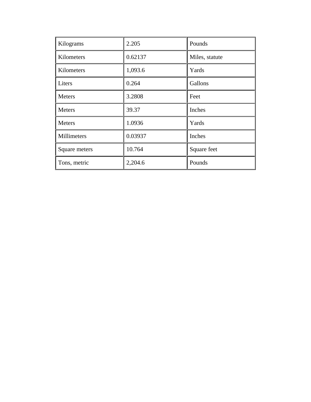| Kilograms     | 2.205   | Pounds         |
|---------------|---------|----------------|
| Kilometers    | 0.62137 | Miles, statute |
| Kilometers    | 1,093.6 | Yards          |
| Liters        | 0.264   | Gallons        |
| <b>Meters</b> | 3.2808  | Feet           |
| <b>Meters</b> | 39.37   | Inches         |
| Meters        | 1.0936  | Yards          |
| Millimeters   | 0.03937 | Inches         |
| Square meters | 10.764  | Square feet    |
| Tons, metric  | 2,204.6 | Pounds         |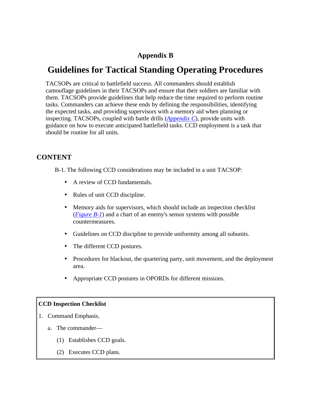# **Appendix B**

# **Guidelines for Tactical Standing Operating Procedures**

TACSOPs are critical to battlefield success. All commanders should establish camouflage guidelines in their TACSOPs and ensure that their soldiers are familiar with them. TACSOPs provide guidelines that help reduce the time required to perform routine tasks. Commanders can achieve these ends by defining the responsibilities, identifying the expected tasks, and providing supervisors with a memory aid when planning or inspecting. TACSOPs, coupled with battle drills (*Appendix C*), provide units with guidance on how to execute anticipated battlefield tasks. CCD employment is a task that should be routine for all units.

# **CONTENT**

B-1. The following CCD considerations may be included in a unit TACSOP:

- A review of CCD fundamentals.
- Rules of unit CCD discipline.
- Memory aids for supervisors, which should include an inspection checklist (*Figure B-1*) and a chart of an enemy's sensor systems with possible countermeasures.
- Guidelines on CCD discipline to provide uniformity among all subunits.
- The different CCD postures.
- Procedures for blackout, the quartering party, unit movement, and the deployment area.
- Appropriate CCD postures in OPORDs for different missions.

## **CCD Inspection Checklist**

- 1. Command Emphasis.
	- a. The commander—
		- (1) Establishes CCD goals.
		- (2) Executes CCD plans.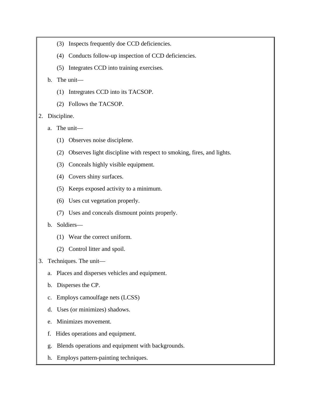- (3) Inspects frequently doe CCD deficiencies.
- (4) Conducts follow-up inspection of CCD deficiencies.
- (5) Integrates CCD into training exercises.
- b. The unit—
	- (1) Intregrates CCD into its TACSOP.
	- (2) Follows the TACSOP.

#### 2. Discipline.

- a. The unit—
	- (1) Observes noise disciplene.
	- (2) Observes light discipline with respect to smoking, fires, and lights.
	- (3) Conceals highly visible equipment.
	- (4) Covers shiny surfaces.
	- (5) Keeps exposed activity to a minimum.
	- (6) Uses cut vegetation properly.
	- (7) Uses and conceals dismount points properly.

#### b. Soldiers—

- (1) Wear the correct uniform.
- (2) Control litter and spoil.

#### 3. Techniques. The unit—

- a. Places and disperses vehicles and equipment.
- b. Disperses the CP.
- c. Employs camoulfage nets (LCSS)
- d. Uses (or minimizes) shadows.
- e. Minimizes movement.
- f. Hides operations and equipment.
- g. Blends operations and equipment with backgrounds.
- h. Employs pattern-painting techniques.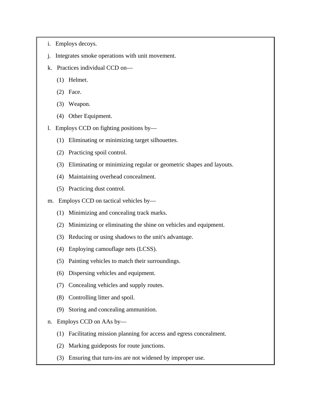- i. Employs decoys.
- j. Integrates smoke operations with unit movement.
- k. Practices individual CCD on—
	- (1) Helmet.
	- (2) Face.
	- (3) Weapon.
	- (4) Other Equipment.
- l. Employs CCD on fighting positions by—
	- (1) Eliminating or minimizing target silhouettes.
	- (2) Practicing spoil control.
	- (3) Eliminating or minimizing regular or geometric shapes and layouts.
	- (4) Maintaining overhead concealment.
	- (5) Practicing dust control.
- m. Employs CCD on tactical vehicles by—
	- (1) Minimizing and concealing track marks.
	- (2) Minimizing or eliminating the shine on vehicles and equipment.
	- (3) Reducing or using shadows to the unit's advantage.
	- (4) Enploying camouflage nets (LCSS).
	- (5) Painting vehicles to match their surroundings.
	- (6) Dispersing vehicles and equipment.
	- (7) Concealing vehicles and supply routes.
	- (8) Controlling litter and spoil.
	- (9) Storing and concealing ammunition.
- n. Employs CCD on AAs by—
	- (1) Facilitating mission planning for access and egress concealment.
	- (2) Marking guideposts for route junctions.
	- (3) Ensuring that turn-ins are not widened by improper use.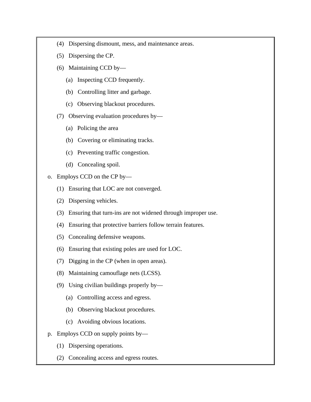- (4) Dispersing dismount, mess, and maintenance areas.
- (5) Dispersing the CP.
- (6) Maintaining CCD by—
	- (a) Inspecting CCD frequently.
	- (b) Controlling litter and garbage.
	- (c) Observing blackout procedures.
- (7) Observing evaluation procedures by—
	- (a) Policing the area
	- (b) Covering or eliminating tracks.
	- (c) Preventing traffic congestion.
	- (d) Concealing spoil.
- o. Employs CCD on the CP by—
	- (1) Ensuring that LOC are not converged.
	- (2) Dispersing vehicles.
	- (3) Ensuring that turn-ins are not widened through improper use.
	- (4) Ensuring that protective barriers follow terrain features.
	- (5) Concealing defensive weapons.
	- (6) Ensuring that existing poles are used for LOC.
	- (7) Digging in the CP (when in open areas).
	- (8) Maintaining camouflage nets (LCSS).
	- (9) Using civilian buildings properly by—
		- (a) Controlling access and egress.
		- (b) Observing blackout procedures.
		- (c) Avoiding obvious locations.
- p. Employs CCD on supply points by—
	- (1) Dispersing operations.
	- (2) Concealing access and egress routes.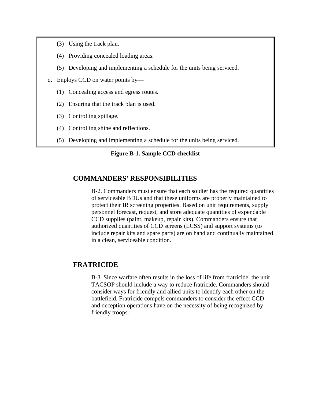- (3) Using the track plan.
- (4) Providing concealed loading areas.
- (5) Developing and implementing a schedule for the units being serviced.
- q. Enploys CCD on water points by—
	- (1) Concealing access and egress routes.
	- (2) Ensuring that the track plan is used.
	- (3) Controlling spillage.
	- (4) Controlling shine and reflections.
	- (5) Developing and implementing a schedule for the units being serviced.

#### **Figure B-1. Sample CCD checklist**

#### **COMMANDERS' RESPONSIBILITIES**

B-2. Commanders must ensure that each soldier has the required quantities of serviceable BDUs and that these uniforms are properly maintained to protect their IR screening properties. Based on unit requirements, supply personnel forecast, request, and store adequate quantities of expendable CCD supplies (paint, makeup, repair kits). Commanders ensure that authorized quantities of CCD screens (LCSS) and support systems (to include repair kits and spare parts) are on hand and continually maintained in a clean, serviceable condition.

#### **FRATRICIDE**

B-3. Since warfare often results in the loss of life from fratricide, the unit TACSOP should include a way to reduce fratricide. Commanders should consider ways for friendly and allied units to identify each other on the battlefield. Fratricide compels commanders to consider the effect CCD and deception operations have on the necessity of being recognized by friendly troops.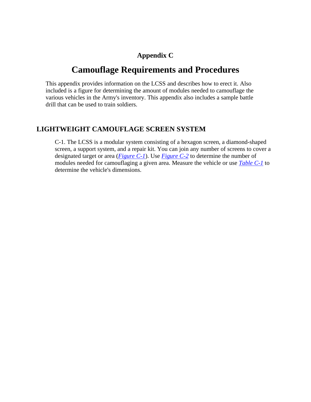## **Appendix C**

# **Camouflage Requirements and Procedures**

This appendix provides information on the LCSS and describes how to erect it. Also included is a figure for determining the amount of modules needed to camouflage the various vehicles in the Army's inventory. This appendix also includes a sample battle drill that can be used to train soldiers.

## **LIGHTWEIGHT CAMOUFLAGE SCREEN SYSTEM**

C-1. The LCSS is a modular system consisting of a hexagon screen, a diamond-shaped screen, a support system, and a repair kit. You can join any number of screens to cover a designated target or area (*Figure C-1*). Use *Figure C-2* to determine the number of modules needed for camouflaging a given area. Measure the vehicle or use *Table C-1* to determine the vehicle's dimensions.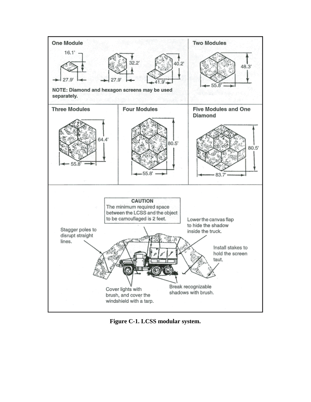

**Figure C-1. LCSS modular system.**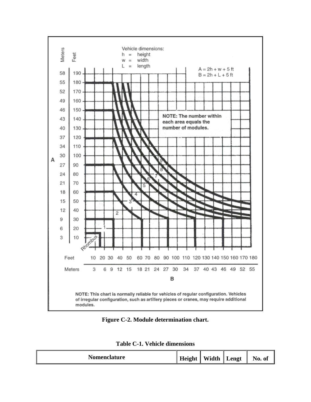

**Figure C-2. Module determination chart.**

|  | <b>Table C-1. Vehicle dimensions</b> |
|--|--------------------------------------|
|--|--------------------------------------|

| <b>Nomenclature</b> | Height | Width | Lengt | $\mathbf{r}$<br>No.<br>- ot |
|---------------------|--------|-------|-------|-----------------------------|
|---------------------|--------|-------|-------|-----------------------------|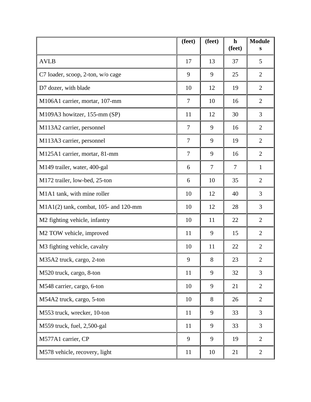|                                         | (feet)         | (feet)         | $\mathbf{h}$<br>(feet) | <b>Module</b><br>S |
|-----------------------------------------|----------------|----------------|------------------------|--------------------|
| <b>AVLB</b>                             | 17             | 13             | 37                     | 5                  |
| C7 loader, scoop, 2-ton, w/o cage       | 9              | 9              | 25                     | $\overline{2}$     |
| D7 dozer, with blade                    | 10             | 12             | 19                     | $\overline{2}$     |
| M106A1 carrier, mortar, 107-mm          | $\overline{7}$ | 10             | 16                     | $\overline{2}$     |
| M109A3 howitzer, 155-mm (SP)            | 11             | 12             | 30                     | 3                  |
| M113A2 carrier, personnel               | $\tau$         | 9              | 16                     | $\overline{2}$     |
| M113A3 carrier, personnel               | $\tau$         | 9              | 19                     | $\overline{2}$     |
| M125A1 carrier, mortar, 81-mm           | $\tau$         | 9              | 16                     | $\overline{2}$     |
| M149 trailer, water, 400-gal            | 6              | $\overline{7}$ | $\overline{7}$         | $\mathbf{1}$       |
| M172 trailer, low-bed, 25-ton           | 6              | 10             | 35                     | $\overline{2}$     |
| M1A1 tank, with mine roller             | 10             | 12             | 40                     | 3                  |
| $M1A1(2)$ tank, combat, 105- and 120-mm | 10             | 12             | 28                     | 3                  |
| M2 fighting vehicle, infantry           | 10             | 11             | 22                     | $\overline{2}$     |
| M2 TOW vehicle, improved                | 11             | 9              | 15                     | $\overline{2}$     |
| M3 fighting vehicle, cavalry            | 10             | 11             | 22                     | $\overline{2}$     |
| M35A2 truck, cargo, 2-ton               | 9              | 8              | 23                     | $\overline{2}$     |
| M520 truck, cargo, 8-ton                | 11             | 9              | 32                     | 3                  |
| M548 carrier, cargo, 6-ton              | 10             | 9              | 21                     | $\overline{2}$     |
| M54A2 truck, cargo, 5-ton               | 10             | 8              | 26                     | $\overline{2}$     |
| M553 truck, wrecker, 10-ton             | 11             | 9              | 33                     | 3                  |
| M559 truck, fuel, 2,500-gal             | 11             | 9              | 33                     | 3                  |
| M577A1 carrier, CP                      | 9              | 9              | 19                     | $\overline{2}$     |
| M578 vehicle, recovery, light           | 11             | 10             | 21                     | $\overline{2}$     |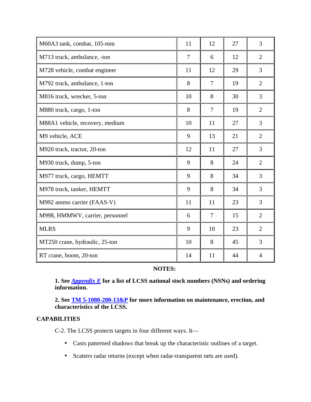| M60A3 tank, combat, 105-mm      | 11     | 12             | 27 | 3              |
|---------------------------------|--------|----------------|----|----------------|
| M713 truck, ambulance, -ton     | $\tau$ | 6              | 12 | $\overline{2}$ |
| M728 vehicle, combat engineer   | 11     | 12             | 29 | 3              |
| M792 truck, ambulance, 1-ton    | 8      | $\tau$         | 19 | $\overline{2}$ |
| M816 truck, wrecker, 5-ton      | 10     | 8              | 30 | 3              |
| M880 truck, cargo, 1-ton        | 8      | $\overline{7}$ | 19 | $\overline{2}$ |
| M88A1 vehicle, recovery, medium | 10     | 11             | 27 | 3              |
| M9 vehicle, ACE                 | 9      | 13             | 21 | $\overline{2}$ |
| M920 truck, tractor, 20-ton     | 12     | 11             | 27 | 3              |
| M930 truck, dump, 5-ton         | 9      | 8              | 24 | $\overline{2}$ |
| M977 truck, cargo, HEMTT        | 9      | 8              | 34 | 3              |
| M978 truck, tanker, HEMTT       | 9      | 8              | 34 | 3              |
| M992 ammo carrier (FAAS-V)      | 11     | 11             | 23 | 3              |
| M998, HMMWV, carrier, personnel | 6      | $\tau$         | 15 | $\overline{2}$ |
| <b>MLRS</b>                     | 9      | 10             | 23 | $\overline{2}$ |
| MT250 crane, hydraulic, 25-ton  | 10     | 8              | 45 | 3              |
| RT crane, boom, 20-ton          | 14     | 11             | 44 | $\overline{4}$ |

#### **NOTES:**

**1. See** *Appendix E* **for a list of LCSS national stock numbers (NSNs) and ordering information.**

**2. See TM 5-1080-200-13&P for more information on maintenance, erection, and characteristics of the LCSS.**

### **CAPABILITIES**

C-2. The LCSS protects targets in four different ways. It—

- Casts patterned shadows that break up the characteristic outlines of a target.
- Scatters radar returns (except when radar-transparent nets are used).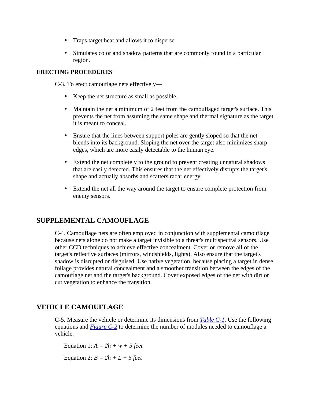- Traps target heat and allows it to disperse.
- Simulates color and shadow patterns that are commonly found in a particular region.

### **ERECTING PROCEDURES**

C-3. To erect camouflage nets effectively—

- Keep the net structure as small as possible.
- Maintain the net a minimum of 2 feet from the camouflaged target's surface. This prevents the net from assuming the same shape and thermal signature as the target it is meant to conceal.
- Ensure that the lines between support poles are gently sloped so that the net blends into its background. Sloping the net over the target also minimizes sharp edges, which are more easily detectable to the human eye.
- Extend the net completely to the ground to prevent creating unnatural shadows that are easily detected. This ensures that the net effectively disrupts the target's shape and actually absorbs and scatters radar energy.
- Extend the net all the way around the target to ensure complete protection from enemy sensors.

# **SUPPLEMENTAL CAMOUFLAGE**

C-4. Camouflage nets are often employed in conjunction with supplemental camouflage because nets alone do not make a target invisible to a threat's multispectral sensors. Use other CCD techniques to achieve effective concealment. Cover or remove all of the target's reflective surfaces (mirrors, windshields, lights). Also ensure that the target's shadow is disrupted or disguised. Use native vegetation, because placing a target in dense foliage provides natural concealment and a smoother transition between the edges of the camouflage net and the target's background. Cover exposed edges of the net with dirt or cut vegetation to enhance the transition.

# **VEHICLE CAMOUFLAGE**

C-5. Measure the vehicle or determine its dimensions from *Table C-1*. Use the following equations and *Figure C-2* to determine the number of modules needed to camouflage a vehicle.

Equation 1:  $A = 2h + w + 5$  feet

Equation 2:  $B = 2h + L + 5$  feet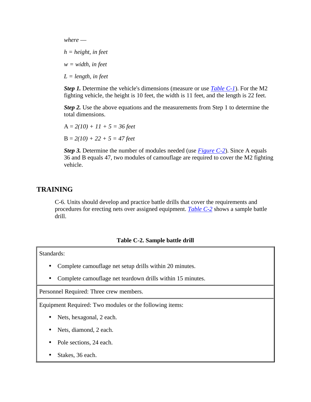*where h = height, in feet w = width, in feet L = length, in feet*

*Step 1.* Determine the vehicle's dimensions (measure or use *Table C-1*). For the M2 fighting vehicle, the height is 10 feet, the width is 11 feet, and the length is 22 feet.

*Step 2.* Use the above equations and the measurements from Step 1 to determine the total dimensions.

$$
A = 2(10) + 11 + 5 = 36 feet
$$
  

$$
B = 2(10) + 22 + 5 = 47 feet
$$

*Step 3.* Determine the number of modules needed (use *Figure C-2*). Since A equals 36 and B equals 47, two modules of camouflage are required to cover the M2 fighting vehicle.

# **TRAINING**

C-6. Units should develop and practice battle drills that cover the requirements and procedures for erecting nets over assigned equipment. *Table C-2* shows a sample battle drill.

## **Table C-2. Sample battle drill**

Standards:

- Complete camouflage net setup drills within 20 minutes.
- Complete camouflage net teardown drills within 15 minutes.

Personnel Required: Three crew members.

Equipment Required: Two modules or the following items:

- Nets, hexagonal, 2 each.
- Nets, diamond, 2 each.
- Pole sections, 24 each.
- Stakes, 36 each.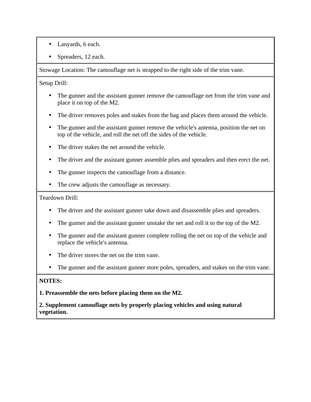- Lanyards, 6 each.
- Spreaders, 12 each.

Stowage Location: The camouflage net is strapped to the right side of the trim vane.

Setup Drill:

- The gunner and the assistant gunner remove the camouflage net from the trim vane and place it on top of the M2.
- The driver removes poles and stakes from the bag and places them around the vehicle.
- The gunner and the assistant gunner remove the vehicle's antenna, position the net on top of the vehicle, and roll the net off the sides of the vehicle.
- The driver stakes the net around the vehicle.
- The driver and the assistant gunner assemble plies and spreaders and then erect the net.
- The gunner inspects the camouflage from a distance.
- The crew adjusts the camouflage as necessary.

Teardown Drill:

- The driver and the assistant gunner take down and disassemble plies and spreaders.
- The gunner and the assistant gunner unstake the net and roll it to the top of the M2.
- The gunner and the assistant gunner complete rolling the net on top of the vehicle and replace the vehicle's antenna.
- The driver stores the net on the trim vane.
- The gunner and the assistant gunner store poles, spreaders, and stakes on the trim vane.

#### **NOTES:**

**1. Preassemble the nets before placing them on the M2.**

**2. Supplement camouflage nets by properly placing vehicles and using natural vegetation.**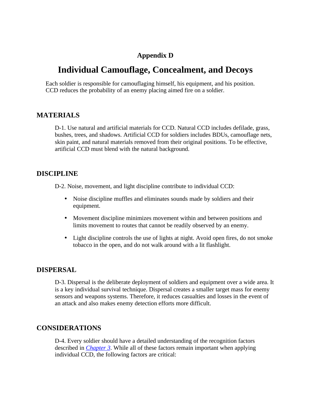### **Appendix D**

## **Individual Camouflage, Concealment, and Decoys**

Each soldier is responsible for camouflaging himself, his equipment, and his position. CCD reduces the probability of an enemy placing aimed fire on a soldier.

#### **MATERIALS**

D-1. Use natural and artificial materials for CCD. Natural CCD includes defilade, grass, bushes, trees, and shadows. Artificial CCD for soldiers includes BDUs, camouflage nets, skin paint, and natural materials removed from their original positions. To be effective, artificial CCD must blend with the natural background.

#### **DISCIPLINE**

D-2. Noise, movement, and light discipline contribute to individual CCD:

- Noise discipline muffles and eliminates sounds made by soldiers and their equipment.
- Movement discipline minimizes movement within and between positions and limits movement to routes that cannot be readily observed by an enemy.
- Light discipline controls the use of lights at night. Avoid open fires, do not smoke tobacco in the open, and do not walk around with a lit flashlight.

#### **DISPERSAL**

D-3. Dispersal is the deliberate deployment of soldiers and equipment over a wide area. It is a key individual survival technique. Dispersal creates a smaller target mass for enemy sensors and weapons systems. Therefore, it reduces casualties and losses in the event of an attack and also makes enemy detection efforts more difficult.

#### **CONSIDERATIONS**

D-4. Every soldier should have a detailed understanding of the recognition factors described in *Chapter 3*. While all of these factors remain important when applying individual CCD, the following factors are critical: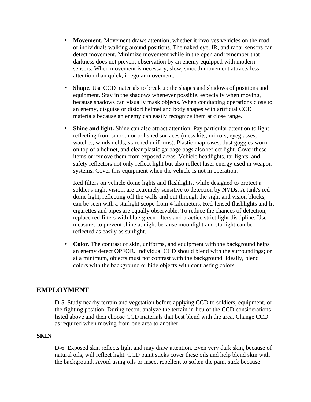- **Movement.** Movement draws attention, whether it involves vehicles on the road or individuals walking around positions. The naked eye, IR, and radar sensors can detect movement. Minimize movement while in the open and remember that darkness does not prevent observation by an enemy equipped with modern sensors. When movement is necessary, slow, smooth movement attracts less attention than quick, irregular movement.
- **Shape.** Use CCD materials to break up the shapes and shadows of positions and equipment. Stay in the shadows whenever possible, especially when moving, because shadows can visually mask objects. When conducting operations close to an enemy, disguise or distort helmet and body shapes with artificial CCD materials because an enemy can easily recognize them at close range.
- **Shine and light.** Shine can also attract attention. Pay particular attention to light reflecting from smooth or polished surfaces (mess kits, mirrors, eyeglasses, watches, windshields, starched uniforms). Plastic map cases, dust goggles worn on top of a helmet, and clear plastic garbage bags also reflect light. Cover these items or remove them from exposed areas. Vehicle headlights, taillights, and safety reflectors not only reflect light but also reflect laser energy used in weapon systems. Cover this equipment when the vehicle is not in operation.

Red filters on vehicle dome lights and flashlights, while designed to protect a soldier's night vision, are extremely sensitive to detection by NVDs. A tank's red dome light, reflecting off the walls and out through the sight and vision blocks, can be seen with a starlight scope from 4 kilometers. Red-lensed flashlights and lit cigarettes and pipes are equally observable. To reduce the chances of detection, replace red filters with blue-green filters and practice strict light discipline. Use measures to prevent shine at night because moonlight and starlight can be reflected as easily as sunlight.

• **Color.** The contrast of skin, uniforms, and equipment with the background helps an enemy detect OPFOR. Individual CCD should blend with the surroundings; or at a minimum, objects must not contrast with the background. Ideally, blend colors with the background or hide objects with contrasting colors.

#### **EMPLOYMENT**

D-5. Study nearby terrain and vegetation before applying CCD to soldiers, equipment, or the fighting position. During recon, analyze the terrain in lieu of the CCD considerations listed above and then choose CCD materials that best blend with the area. Change CCD as required when moving from one area to another.

#### **SKIN**

D-6. Exposed skin reflects light and may draw attention. Even very dark skin, because of natural oils, will reflect light. CCD paint sticks cover these oils and help blend skin with the background. Avoid using oils or insect repellent to soften the paint stick because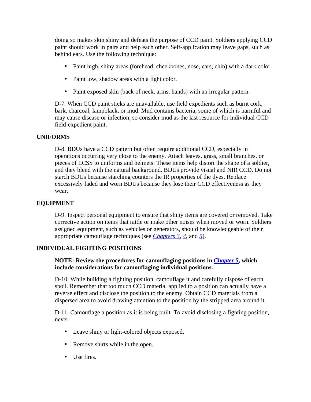doing so makes skin shiny and defeats the purpose of CCD paint. Soldiers applying CCD paint should work in pairs and help each other. Self-application may leave gaps, such as behind ears. Use the following technique:

- Paint high, shiny areas (forehead, cheekbones, nose, ears, chin) with a dark color.
- Paint low, shadow areas with a light color.
- Paint exposed skin (back of neck, arms, hands) with an irregular pattern.

D-7. When CCD paint sticks are unavailable, use field expedients such as burnt cork, bark, charcoal, lampblack, or mud. Mud contains bacteria, some of which is harmful and may cause disease or infection, so consider mud as the last resource for individual CCD field-expedient paint.

#### **UNIFORMS**

D-8. BDUs have a CCD pattern but often require additional CCD, especially in operations occurring very close to the enemy. Attach leaves, grass, small branches, or pieces of LCSS to uniforms and helmets. These items help distort the shape of a soldier, and they blend with the natural background. BDUs provide visual and NIR CCD. Do not starch BDUs because starching counters the IR properties of the dyes. Replace excessively faded and worn BDUs because they lose their CCD effectiveness as they wear.

#### **EQUIPMENT**

D-9. Inspect personal equipment to ensure that shiny items are covered or removed. Take corrective action on items that rattle or make other noises when moved or worn. Soldiers assigned equipment, such as vehicles or generators, should be knowledgeable of their appropriate camouflage techniques (see *Chapters 3*, *4*, and *5*).

#### **INDIVIDUAL FIGHTING POSITIONS**

#### **NOTE:** Review the procedures for camouflaging positions in *Chapter 5*, which **include considerations for camouflaging individual positions.**

D-10. While building a fighting position, camouflage it and carefully dispose of earth spoil. Remember that too much CCD material applied to a position can actually have a reverse effect and disclose the position to the enemy. Obtain CCD materials from a dispersed area to avoid drawing attention to the position by the stripped area around it.

D-11. Camouflage a position as it is being built. To avoid disclosing a fighting position, never—

- Leave shiny or light-colored objects exposed.
- Remove shirts while in the open.
- Use fires.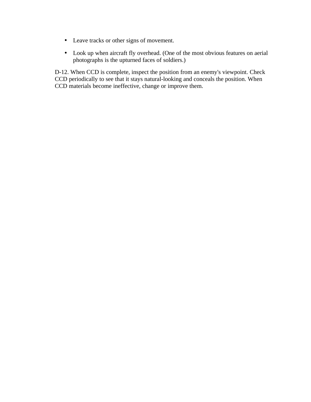- Leave tracks or other signs of movement.
- Look up when aircraft fly overhead. (One of the most obvious features on aerial photographs is the upturned faces of soldiers.)

D-12. When CCD is complete, inspect the position from an enemy's viewpoint. Check CCD periodically to see that it stays natural-looking and conceals the position. When CCD materials become ineffective, change or improve them.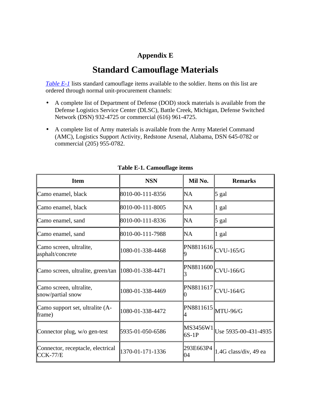## **Appendix E**

## **Standard Camouflage Materials**

*Table E-1* lists standard camouflage items available to the soldier. Items on this list are ordered through normal unit-procurement channels:

- A complete list of Department of Defense (DOD) stock materials is available from the Defense Logistics Service Center (DLSC), Battle Creek, Michigan, Defense Switched Network (DSN) 932-4725 or commercial (616) 961-4725.
- A complete list of Army materials is available from the Army Materiel Command (AMC), Logistics Support Activity, Redstone Arsenal, Alabama, DSN 645-0782 or commercial (205) 955-0782.

| <b>Item</b>                                         | <b>NSN</b>                 | Mil No.             | <b>Remarks</b>        |
|-----------------------------------------------------|----------------------------|---------------------|-----------------------|
| Camo enamel, black                                  | 8010-00-111-8356           | NA                  | $5$ gal               |
| Camo enamel, black                                  | 8010-00-111-8005           | NA                  | 1 gal                 |
| Camo enamel, sand                                   | 8010-00-111-8336           | lΝA                 | 5 gal                 |
| Camo enamel, sand                                   | 8010-00-111-7988           | NA                  | 1 gal                 |
| Camo screen, ultralite,<br>asphalt/concrete         | 1080-01-338-4468           | PN8811616           | <b>CVU-165/G</b>      |
| Camo screen, ultralite, green/tan                   | $[1080 - 01 - 338 - 4471]$ | PN8811600           | $CVU-166/G$           |
| Camo screen, ultralite,<br>snow/partial snow        | 1080-01-338-4469           | PN8811617           | $CVU-164/G$           |
| Camo support set, ultralite (A-<br>frame)           | 1080-01-338-4472           | PN8811615           | MTU-96/G              |
| Connector plug, w/o gen-test                        | 5935-01-050-6586           | MS3456W1<br>$6S-1P$ | Use 5935-00-431-4935  |
| Connector, receptacle, electrical<br>$CCK$ -77/ $E$ | 1370-01-171-1336           | 293E663P4<br>04     | 1.4G class/div, 49 ea |

**Table E-1. Camouflage items**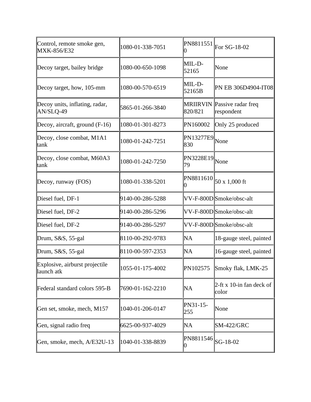| Control, remote smoke gen,<br>MXK-856/E32    | 1080-01-338-7051 | PN8811551               | For SG-18-02                              |
|----------------------------------------------|------------------|-------------------------|-------------------------------------------|
| Decoy target, bailey bridge                  | 1080-00-650-1098 | MIL-D-<br>52165         | None                                      |
| Decoy target, how, 105-mm                    | 1080-00-570-6519 | MIL-D-<br>52165B        | PN EB 306D4904-IT08                       |
| Decoy units, inflating, radar,<br>AN/SLQ-49  | 5865-01-266-3840 | 820/821                 | MRIIRVIN Passive radar freq<br>respondent |
| Decoy, aircraft, ground (F-16)               | 1080-01-301-8273 | PN160002                | Only 25 produced                          |
| Decoy, close combat, M1A1<br>tank            | 1080-01-242-7251 | <b>PN13277E9</b><br>830 | None                                      |
| Decoy, close combat, M60A3<br>tank           | 1080-01-242-7250 | PN3228E19<br>79         | None                                      |
| Decoy, runway (FOS)                          | 1080-01-338-5201 | PN8811610               | $50 \times 1,000$ ft                      |
| Diesel fuel, DF-1                            | 9140-00-286-5288 |                         | VV-F-800DSmoke/obsc-alt                   |
| Diesel fuel, DF-2                            | 9140-00-286-5296 |                         | VV-F-800DSmoke/obsc-alt                   |
| Diesel fuel, DF-2                            | 9140-00-286-5297 |                         | VV-F-800D Smoke/obsc-alt                  |
| Drum, $S&S$ , 55-gal                         | 8110-00-292-9783 | NA                      | 18-gauge steel, painted                   |
| Drum, $S&S$ , 55-gal                         | 8110-00-597-2353 | <b>NA</b>               | 16-gauge steel, painted                   |
| Explosive, airburst projectile<br>launch atk | 1055-01-175-4002 | PN102575                | Smoky flak, LMK-25                        |
| Federal standard colors 595-B                | 7690-01-162-2210 | NA                      | 2-ft x 10-in fan deck of<br>color         |
| Gen set, smoke, mech, M157                   | 1040-01-206-0147 | PN31-15-<br>255         | None                                      |
| Gen, signal radio freq                       | 6625-00-937-4029 | NA                      | SM-422/GRC                                |
| Gen, smoke, mech, A/E32U-13                  | 1040-01-338-8839 | PN8811546<br>0          | SG-18-02                                  |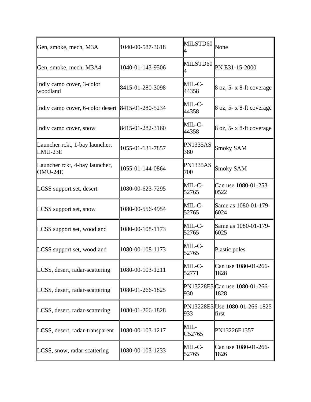| Gen, smoke, mech, M3A                                 | 1040-00-587-3618 | MILSTD60               | None                                    |
|-------------------------------------------------------|------------------|------------------------|-----------------------------------------|
| Gen, smoke, mech, M3A4                                | 1040-01-143-9506 | MILSTD60               | PN E31-15-2000                          |
| Indiv camo cover, 3-color<br>woodland                 | 8415-01-280-3098 | MIL-C-<br>44358        | $\beta$ oz, 5- x 8-ft coverage          |
| Indiv camo cover, 6-color desert $ 8415-01-280-5234 $ |                  | MIL-C-<br>44358        | $\beta$ oz, 5- x 8-ft coverage          |
| Indiv camo cover, snow                                | 8415-01-282-3160 | MIL-C-<br>44358        | $\beta$ oz, 5- x 8-ft coverage          |
| Launcher rckt, 1-bay launcher,<br>$LMU-23E$           | 1055-01-131-7857 | <b>PN1335AS</b><br>380 | <b>Smoky SAM</b>                        |
| Launcher rckt, 4-bay launcher,<br>$OMU-24E$           | 1055-01-144-0864 | <b>PN1335AS</b><br>700 | Smoky SAM                               |
| LCSS support set, desert                              | 1080-00-623-7295 | MIL-C-<br>52765        | Can use 1080-01-253-<br>0522            |
| <b>LCSS</b> support set, snow                         | 1080-00-556-4954 | MIL-C-<br>52765        | Same as 1080-01-179-<br>6024            |
| LCSS support set, woodland                            | 1080-00-108-1173 | MIL-C-<br>52765        | Same as 1080-01-179-<br>6025            |
| LCSS support set, woodland                            | 1080-00-108-1173 | MIL-C-<br>52765        | Plastic poles                           |
| LCSS, desert, radar-scattering                        | 1080-00-103-1211 | MIL-C-<br>52771        | Can use 1080-01-266-<br>1828            |
| LCSS, desert, radar-scattering                        | 1080-01-266-1825 | 930                    | PN13228E5 Can use 1080-01-266-<br>1828  |
| LCSS, desert, radar-scattering                        | 1080-01-266-1828 | 933                    | PN13228E5 Use 1080-01-266-1825<br>first |
| LCSS, desert, radar-transparent                       | 1080-00-103-1217 | MIL-<br>C52765         | PN13226E1357                            |
| LCSS, snow, radar-scattering                          | 1080-00-103-1233 | MIL-C-<br>52765        | Can use 1080-01-266-<br>1826            |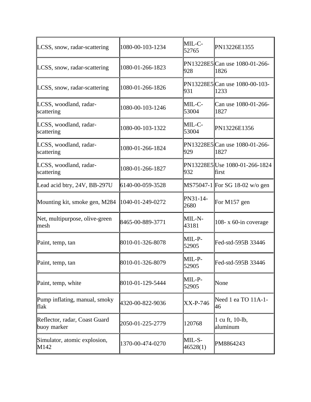| LCSS, snow, radar-scattering                 | 1080-00-103-1234 | MIL-C-<br>52765    | PN13226E1355                           |
|----------------------------------------------|------------------|--------------------|----------------------------------------|
| LCSS, snow, radar-scattering                 | 1080-01-266-1823 | 928                | PN13228E5 Can use 1080-01-266-<br>1826 |
| LCSS, snow, radar-scattering                 | 1080-01-266-1826 | 931                | PN13228E5 Can use 1080-00-103-<br>1233 |
| LCSS, woodland, radar-<br>scattering         | 1080-00-103-1246 | MIL-C-<br>53004    | Can use 1080-01-266-<br>1827           |
| LCSS, woodland, radar-<br>scattering         | 1080-00-103-1322 | MIL-C-<br>53004    | PN13226E1356                           |
| LCSS, woodland, radar-<br>scattering         | 1080-01-266-1824 | 929                | PN13228E5 Can use 1080-01-266-<br>1827 |
| LCSS, woodland, radar-<br>scattering         | 1080-01-266-1827 | 932                | PN13228E5Use 1080-01-266-1824<br>first |
| Lead acid btry, 24V, BB-297U                 | 6140-00-059-3528 |                    | MS75047-1 For SG 18-02 w/o gen         |
| Mounting kit, smoke gen, M284                | 1040-01-249-0272 | PN31-14-<br>2680   | For M157 gen                           |
| Net, multipurpose, olive-green<br>mesh       | 8465-00-889-3771 | MIL-N-<br>43181    | 108- $x$ 60-in coverage                |
| Paint, temp, tan                             | 8010-01-326-8078 | MIL-P-<br>52905    | Fed-std-595B 33446                     |
| Paint, temp, tan                             | 8010-01-326-8079 | MIL-P-<br>52905    | Fed-std-595B 33446                     |
| Paint, temp, white                           | 8010-01-129-5444 | MIL-P-<br>52905    | None                                   |
| Pump inflating, manual, smoky<br> flak       | 4320-00-822-9036 | XX-P-746           | Need 1 ea TO 11A-1-<br>46              |
| Reflector, radar, Coast Guard<br>buoy marker | 2050-01-225-2779 | 120768             | 1 cu ft, 10-lb,<br>aluminum            |
| Simulator, atomic explosion,<br>M142         | 1370-00-474-0270 | MIL-S-<br>46528(1) | PM8864243                              |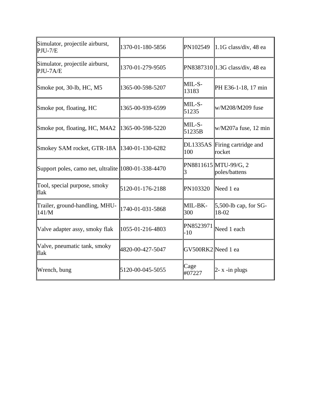| Simulator, projectile airburst,<br>$PIU-7/E$          | 1370-01-180-5856 | PN102549               | $1.1G$ class/div, 48 ea                |
|-------------------------------------------------------|------------------|------------------------|----------------------------------------|
| Simulator, projectile airburst,<br>PJU-7A/E           | 1370-01-279-9505 |                        | PN8387310 1.3G class/div, 48 ea        |
| Smoke pot, 30-lb, HC, M5                              | 1365-00-598-5207 | MIL-S-<br>13183        | PH E36-1-18, 17 min                    |
| Smoke pot, floating, HC                               | 1365-00-939-6599 | MIL-S-<br>51235        | w/M208/M209 fuse                       |
| Smoke pot, floating, HC, M4A2                         | 1365-00-598-5220 | MIL-S-<br>51235B       | w/M207a fuse, 12 min                   |
| Smokey SAM rocket, GTR-18A                            | 1340-01-130-6282 | <b>DL1335AS</b><br>100 | Firing cartridge and<br>rocket         |
| Support poles, camo net, ultralite   1080-01-338-4470 |                  | 3                      | PN8811615 MTU-99/G, 2<br>poles/battens |
| Tool, special purpose, smoky<br>flak                  | 5120-01-176-2188 | PN103320               | Need 1 ea                              |
| Trailer, ground-handling, MHU-<br>141/M               | 1740-01-031-5868 | MIL-BK-<br>300         | $5,500$ -lb cap, for SG-<br>18-02      |
| Valve adapter assy, smoky flak                        | 1055-01-216-4803 | PN8523971<br>$-10$     | Need 1 each                            |
| Valve, pneumatic tank, smoky<br>lflak                 | 4820-00-427-5047 | GV500RK2 Need 1 ea     |                                        |
| Wrench, bung                                          | 5120-00-045-5055 | Cage<br>#07227         | $2 - x - in$ plugs                     |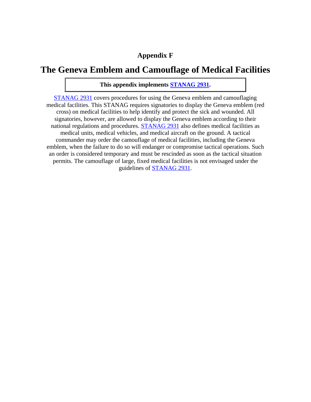#### **Appendix F**

## **The Geneva Emblem and Camouflage of Medical Facilities**

#### **This appendix implements STANAG 2931.**

STANAG 2931 covers procedures for using the Geneva emblem and camouflaging medical facilities. This STANAG requires signatories to display the Geneva emblem (red cross) on medical facilities to help identify and protect the sick and wounded. All signatories, however, are allowed to display the Geneva emblem according to their national regulations and procedures. STANAG 2931 also defines medical facilities as medical units, medical vehicles, and medical aircraft on the ground. A tactical commander may order the camouflage of medical facilities, including the Geneva emblem, when the failure to do so will endanger or compromise tactical operations. Such an order is considered temporary and must be rescinded as soon as the tactical situation permits. The camouflage of large, fixed medical facilities is not envisaged under the guidelines of STANAG 2931.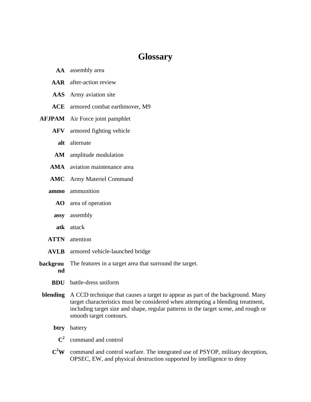# **Glossary**

| AA             | assembly area                                                                                                                                                                                                                                                                                |
|----------------|----------------------------------------------------------------------------------------------------------------------------------------------------------------------------------------------------------------------------------------------------------------------------------------------|
| <b>AAR</b>     | after-action review                                                                                                                                                                                                                                                                          |
| <b>AAS</b>     | Army aviation site                                                                                                                                                                                                                                                                           |
| ACE            | armored combat earthmover, M9                                                                                                                                                                                                                                                                |
| <b>AFJPAM</b>  | Air Force joint pamphlet                                                                                                                                                                                                                                                                     |
| <b>AFV</b>     | armored fighting vehicle                                                                                                                                                                                                                                                                     |
| alt            | alternate                                                                                                                                                                                                                                                                                    |
| AM             | amplitude modulation                                                                                                                                                                                                                                                                         |
| <b>AMA</b>     | aviation maintenance area                                                                                                                                                                                                                                                                    |
| <b>AMC</b>     | <b>Army Materiel Command</b>                                                                                                                                                                                                                                                                 |
| ammo           | ammunition                                                                                                                                                                                                                                                                                   |
| AO             | area of operation                                                                                                                                                                                                                                                                            |
| assy           | assembly                                                                                                                                                                                                                                                                                     |
| atk            | attack                                                                                                                                                                                                                                                                                       |
| <b>ATTN</b>    | attention                                                                                                                                                                                                                                                                                    |
| <b>AVLB</b>    | armored vehicle-launched bridge                                                                                                                                                                                                                                                              |
| backgrou<br>nd | The features in a target area that surround the target.                                                                                                                                                                                                                                      |
| <b>BDU</b>     | battle-dress uniform                                                                                                                                                                                                                                                                         |
|                | blending A CCD technique that causes a target to appear as part of the background. Many<br>target characteristics must be considered when attempting a blending treatment,<br>including target size and shape, regular patterns in the target scene, and rough or<br>smooth target contours. |
| btry           | battery                                                                                                                                                                                                                                                                                      |
| $\mathbf{C}^2$ | command and control                                                                                                                                                                                                                                                                          |
| $C^2W$         | command and control warfare. The integrated use of PSYOP, military deception,<br>OPSEC, EW, and physical destruction supported by intelligence to deny                                                                                                                                       |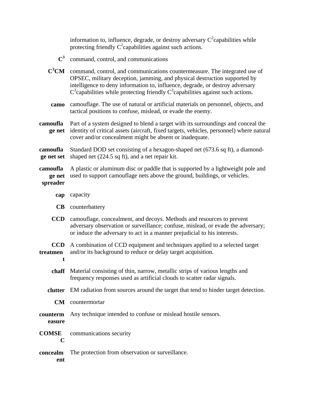information to, influence, degrade, or destroy adversary  $C^2$ capabilities while protecting friendly  $C^2$ capabilities against such actions.

- $C^3$  command, control, and communications
- **C <sup>3</sup>CM** command, control, and communications countermeasure. The integrated use of OPSEC, military deception, jamming, and physical destruction supported by intelligence to deny information to, influence, degrade, or destroy adversary  $C^3$ capabilities while protecting friendly  $C^3$ capabilities against such actions.
- **camo** camouflage. The use of natural or artificial materials on personnel, objects, and tactical positions to confuse, mislead, or evade the enemy.
- **camoufla ge net** identity of critical assets (aircraft, fixed targets, vehicles, personnel) where natural Part of a system designed to blend a target with its surroundings and conceal the cover and/or concealment might be absent or inadequate.
- **camoufla ge net set** Standard DOD set consisting of a hexagon-shaped net (673.6 sq ft), a diamondshaped net (224.5 sq ft), and a net repair kit.

#### **camoufla ge net spreader** A plastic or aluminum disc or paddle that is supported by a lightweight pole and used to support camouflage nets above the ground, buildings, or vehicles.

- **cap** capacity
- **CB** counterbattery
- **CCD** camouflage, concealment, and decoys. Methods and resources to prevent adversary observation or surveillance; confuse, mislead, or evade the adversary; or induce the adversary to act in a manner prejudicial to his interests.

**CCD** A combination of CCD equipment and techniques applied to a selected target **treatmen** and/or its background to reduce or delay target acquisition.

- **t**
- **chaff** Material consisting of thin, narrow, metallic strips of various lengths and frequency responses used as artificial clouds to scatter radar signals.
- **clutter** EM radiation from sources around the target that tend to hinder target detection.
	- **CM** countermortar
- **counterm easure** Any technique intended to confuse or mislead hostile sensors.
- **COMSE C** communications security
- **concealm ent** The protection from observation or surveillance.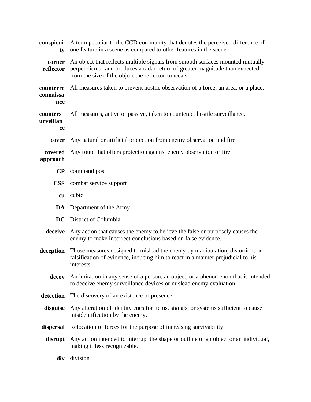| conspicui<br>ty               | A term peculiar to the CCD community that denotes the perceived difference of<br>one feature in a scene as compared to other features in the scene.                                                                   |
|-------------------------------|-----------------------------------------------------------------------------------------------------------------------------------------------------------------------------------------------------------------------|
| corner<br>reflector           | An object that reflects multiple signals from smooth surfaces mounted mutually<br>perpendicular and produces a radar return of greater magnitude than expected<br>from the size of the object the reflector conceals. |
| counterre<br>connaissa<br>nce | All measures taken to prevent hostile observation of a force, an area, or a place.                                                                                                                                    |
| counters<br>urveillan<br>ce   | All measures, active or passive, taken to counteract hostile surveillance.                                                                                                                                            |
| cover                         | Any natural or artificial protection from enemy observation and fire.                                                                                                                                                 |
| covered<br>approach           | Any route that offers protection against enemy observation or fire.                                                                                                                                                   |
| $\bf CP$                      | command post                                                                                                                                                                                                          |
| <b>CSS</b>                    | combat service support                                                                                                                                                                                                |
| cu                            | cubic                                                                                                                                                                                                                 |
|                               | <b>DA</b> Department of the Army                                                                                                                                                                                      |
|                               | <b>DC</b> District of Columbia                                                                                                                                                                                        |
| deceive                       | Any action that causes the enemy to believe the false or purposely causes the<br>enemy to make incorrect conclusions based on false evidence.                                                                         |
| deception                     | Those measures designed to mislead the enemy by manipulation, distortion, or<br>falsification of evidence, inducing him to react in a manner prejudicial to his<br>interests.                                         |
|                               | <b>decoy</b> An imitation in any sense of a person, an object, or a phenomenon that is intended<br>to deceive enemy surveillance devices or mislead enemy evaluation.                                                 |
|                               | <b>detection</b> The discovery of an existence or presence.                                                                                                                                                           |
| disguise                      | Any alteration of identity cues for items, signals, or systems sufficient to cause<br>misidentification by the enemy.                                                                                                 |
|                               | <b>dispersal</b> Relocation of forces for the purpose of increasing survivability.                                                                                                                                    |
| disrupt                       | Any action intended to interrupt the shape or outline of an object or an individual,                                                                                                                                  |
|                               | making it less recognizable.                                                                                                                                                                                          |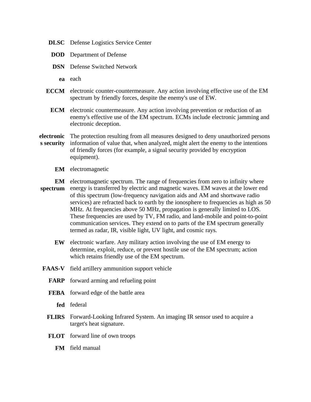- **DLSC** Defense Logistics Service Center
- **DOD** Department of Defense
- **DSN** Defense Switched Network
	- **ea** each
- **ECCM** electronic counter-countermeasure. Any action involving effective use of the EM spectrum by friendly forces, despite the enemy's use of EW.
- **ECM** electronic countermeasure. Any action involving prevention or reduction of an enemy's effective use of the EM spectrum. ECMs include electronic jamming and electronic deception.
- **electronic** The protection resulting from all measures designed to deny unauthorized persons **s security** information of value that, when analyzed, might alert the enemy to the intentions of friendly forces (for example, a signal security provided by encryption equipment).
	- **EM** electromagnetic
- **EM** electromagnetic spectrum. The range of frequencies from zero to infinity where **spectrum** energy is transferred by electric and magnetic waves. EM waves at the lower end of this spectrum (low-frequency navigation aids and AM and shortwave radio services) are refracted back to earth by the ionosphere to frequencies as high as 50 MHz. At frequencies above 50 MHz, propagation is generally limited to LOS. These frequencies are used by TV, FM radio, and land-mobile and point-to-point communication services. They extend on to parts of the EM spectrum generally termed as radar, IR, visible light, UV light, and cosmic rays.
	- **EW** electronic warfare. Any military action involving the use of EM energy to determine, exploit, reduce, or prevent hostile use of the EM spectrum; action which retains friendly use of the EM spectrum.
- **FAAS-V** field artillery ammunition support vehicle
	- **FARP** forward arming and refueling point
	- **FEBA** forward edge of the battle area
		- **fed** federal
	- **FLIRS** Forward-Looking Infrared System. An imaging IR sensor used to acquire a target's heat signature.
	- **FLOT** forward line of own troops
		- **FM** field manual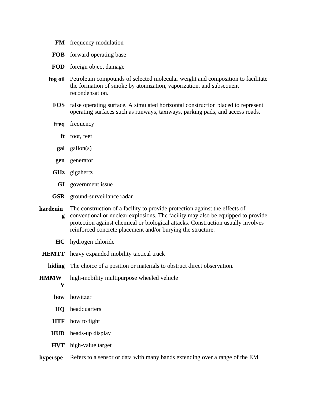- **FM** frequency modulation
- **FOB** forward operating base
- **FOD** foreign object damage
- **fog oil** Petroleum compounds of selected molecular weight and composition to facilitate the formation of smoke by atomization, vaporization, and subsequent recondensation.
	- **FOS** false operating surface. A simulated horizontal construction placed to represent operating surfaces such as runways, taxiways, parking pads, and access roads.
	- **freq** frequency
		- **ft** foot, feet
		- **gal** gallon(s)
	- **gen** generator
	- **GHz** gigahertz
		- **GI** government issue
	- **GSR** ground-surveillance radar
- **hardenin g** conventional or nuclear explosions. The facility may also be equipped to provide The construction of a facility to provide protection against the effects of protection against chemical or biological attacks. Construction usually involves reinforced concrete placement and/or burying the structure.
	- **HC** hydrogen chloride
- **HEMTT** heavy expanded mobility tactical truck
	- **hiding** The choice of a position or materials to obstruct direct observation.
- **HMMW** high-mobility multipurpose wheeled vehicle
	- **V**
	- **how** howitzer
	- **HQ** headquarters
	- **HTF** how to fight
	- **HUD** heads-up display
	- **HVT** high-value target

**hyperspe** Refers to a sensor or data with many bands extending over a range of the EM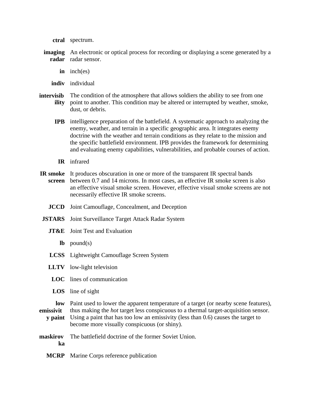**ctral** spectrum.

- **imaging** An electronic or optical process for recording or displaying a scene generated by a **radar** radar sensor.
	- **in** inch(es)
	- **indiv** individual
- **intervisib ility** The condition of the atmosphere that allows soldiers the ability to see from one point to another. This condition may be altered or interrupted by weather, smoke, dust, or debris.
	- **IPB** intelligence preparation of the battlefield. A systematic approach to analyzing the enemy, weather, and terrain in a specific geographic area. It integrates enemy doctrine with the weather and terrain conditions as they relate to the mission and the specific battlefield environment. IPB provides the framework for determining and evaluating enemy capabilities, vulnerabilities, and probable courses of action.
		- **IR** infrared
- **IR smoke** It produces obscuration in one or more of the transparent IR spectral bands **screen** between 0.7 and 14 microns. In most cases, an effective IR smoke screen is also an effective visual smoke screen. However, effective visual smoke screens are not necessarily effective IR smoke screens.
	- **JCCD** Joint Camouflage, Concealment, and Deception
- **JSTARS** Joint Surveillance Target Attack Radar System
	- **JT&E** Joint Test and Evaluation
		- **lb** pound(s)
	- **LCSS** Lightweight Camouflage Screen System
	- **LLTV** low-light television
	- **LOC** lines of communication
	- **LOS** line of sight

**low** Paint used to lower the apparent temperature of a target (or nearby scene features), **emissivit** thus making the *hot* target less conspicuous to a thermal target-acquisition sensor.

- **y paint** Using a paint that has too low an emissivity (less than 0.6) causes the target to become more visually conspicuous (or shiny).
- **maskirov ka** The battlefield doctrine of the former Soviet Union.
	- **MCRP** Marine Corps reference publication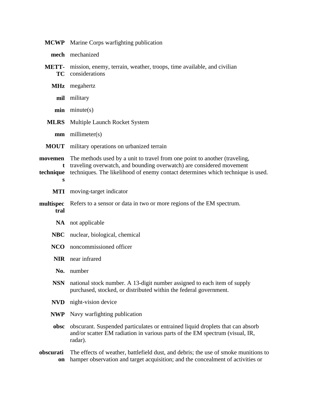|                                | <b>MCWP</b> Marine Corps warfighting publication                                                                                                                                                                                      |
|--------------------------------|---------------------------------------------------------------------------------------------------------------------------------------------------------------------------------------------------------------------------------------|
|                                | mech mechanized                                                                                                                                                                                                                       |
| <b>METT-</b><br><b>TC</b>      | mission, enemy, terrain, weather, troops, time available, and civilian<br>considerations                                                                                                                                              |
|                                | MHz megahertz                                                                                                                                                                                                                         |
|                                | mil military                                                                                                                                                                                                                          |
|                                | $min$ minute(s)                                                                                                                                                                                                                       |
|                                | <b>MLRS</b> Multiple Launch Rocket System                                                                                                                                                                                             |
| mm                             | millimeter(s)                                                                                                                                                                                                                         |
|                                | <b>MOUT</b> military operations on urbanized terrain                                                                                                                                                                                  |
| movemen<br>t<br>technique<br>S | The methods used by a unit to travel from one point to another (traveling,<br>traveling overwatch, and bounding overwatch) are considered movement<br>techniques. The likelihood of enemy contact determines which technique is used. |
| MTI                            | moving-target indicator                                                                                                                                                                                                               |
| multispec<br>tral              | Refers to a sensor or data in two or more regions of the EM spectrum.                                                                                                                                                                 |
|                                | <b>NA</b> not applicable                                                                                                                                                                                                              |
|                                | NBC nuclear, biological, chemical                                                                                                                                                                                                     |
| <b>NCO</b>                     | noncommissioned officer                                                                                                                                                                                                               |
|                                | <b>NIR</b> near infrared                                                                                                                                                                                                              |
|                                | No. number                                                                                                                                                                                                                            |
| <b>NSN</b>                     | national stock number. A 13-digit number assigned to each item of supply<br>purchased, stocked, or distributed within the federal government.                                                                                         |
| <b>NVD</b>                     | night-vision device                                                                                                                                                                                                                   |
| <b>NWP</b>                     | Navy warfighting publication                                                                                                                                                                                                          |
| obsc                           | obscurant. Suspended particulates or entrained liquid droplets that can absorb<br>and/or scatter EM radiation in various parts of the EM spectrum (visual, IR,<br>radar).                                                             |
| obscurati<br>on                | The effects of weather, battlefield dust, and debris; the use of smoke munitions to<br>hamper observation and target acquisition; and the concealment of activities or                                                                |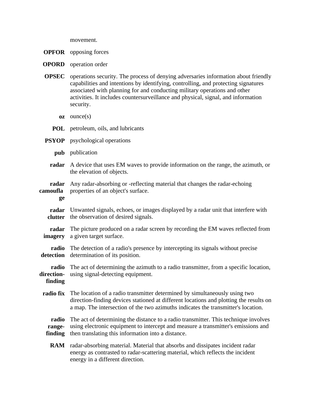movement.

- **OPFOR** opposing forces
- **OPORD** operation order
- **OPSEC** operations security. The process of denying adversaries information about friendly capabilities and intentions by identifying, controlling, and protecting signatures associated with planning for and conducting military operations and other activities. It includes countersurveillance and physical, signal, and information security. **oz** ounce(s) **POL** petroleum, oils, and lubricants **PSYOP** psychological operations **pub** publication **radar** A device that uses EM waves to provide information on the range, the azimuth, or the elevation of objects. **radar** Any radar-absorbing or -reflecting material that changes the radar-echoing **camoufla ge** properties of an object's surface. **radar** Unwanted signals, echoes, or images displayed by a radar unit that interfere with **clutter** the observation of desired signals. **radar** The picture produced on a radar screen by recording the EM waves reflected from **imagery** a given target surface. **radio** The detection of a radio's presence by intercepting its signals without precise **detection** determination of its position. **radio directionfinding** The act of determining the azimuth to a radio transmitter, from a specific location, using signal-detecting equipment. **radio fix** The location of a radio transmitter determined by simultaneously using two direction-finding devices stationed at different locations and plotting the results on a map. The intersection of the two azimuths indicates the transmitter's location. **radio** The act of determining the distance to a radio transmitter. This technique involves **range-**using electronic equipment to intercept and measure a transmitter's emissions and finding then translating this information into a distance.
	- **RAM** radar-absorbing material. Material that absorbs and dissipates incident radar energy as contrasted to radar-scattering material, which reflects the incident energy in a different direction.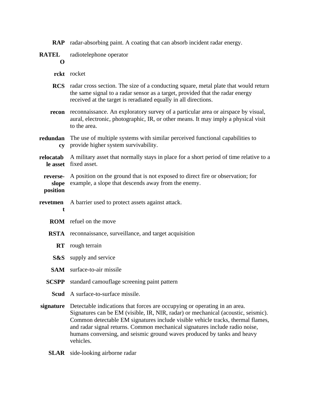- **RAP** radar-absorbing paint. A coating that can absorb incident radar energy.
- **RATEL** radiotelephone operator

**O**

- **rckt** rocket
- **RCS** radar cross section. The size of a conducting square, metal plate that would return the same signal to a radar sensor as a target, provided that the radar energy received at the target is reradiated equally in all directions.
- **recon** reconnaissance. An exploratory survey of a particular area or airspace by visual, aural, electronic, photographic, IR, or other means. It may imply a physical visit to the area.
- **redundan** The use of multiple systems with similar perceived functional capabilities to **cy** provide higher system survivability.
- **relocatab** A military asset that normally stays in place for a short period of time relative to a **le asset** fixed asset.
	- **reverse-**A position on the ground that is not exposed to direct fire or observation; for slope example, a slope that descends away from the enemy. **position**
- **revetmen** A barrier used to protect assets against attack. **t**
	- **ROM** refuel on the move
	- **RSTA** reconnaissance, surveillance, and target acquisition
		- **RT** rough terrain
		- **S&S** supply and service
	- **SAM** surface-to-air missile
	- **SCSPP** standard camouflage screening paint pattern
		- **Scud** A surface-to-surface missile.
- **signature** Detectable indications that forces are occupying or operating in an area. Signatures can be EM (visible, IR, NIR, radar) or mechanical (acoustic, seismic). Common detectable EM signatures include visible vehicle tracks, thermal flames, and radar signal returns. Common mechanical signatures include radio noise, humans conversing, and seismic ground waves produced by tanks and heavy vehicles.
	- **SLAR** side-looking airborne radar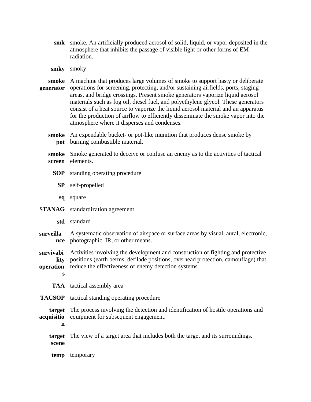- **smk** smoke. An artificially produced aerosol of solid, liquid, or vapor deposited in the atmosphere that inhibits the passage of visible light or other forms of EM radiation.
- **smky** smoky

**smoke** A machine that produces large volumes of smoke to support hasty or deliberate **generator** operations for screening, protecting, and/or sustaining airfields, ports, staging areas, and bridge crossings. Present smoke generators vaporize liquid aerosol materials such as fog oil, diesel fuel, and polyethylene glycol. These generators consist of a heat source to vaporize the liquid aerosol material and an apparatus for the production of airflow to efficiently disseminate the smoke vapor into the atmosphere where it disperses and condenses.

**smoke** An expendable bucket- or pot-like munition that produces dense smoke by **pot** burning combustible material.

smoke Smoke generated to deceive or confuse an enemy as to the activities of tactical **screen** elements.

- **SOP** standing operating procedure
	- **SP** self-propelled
	- **sq** square
- **STANAG** standardization agreement
	- **std** standard
- **surveilla nce** photographic, IR, or other means. A systematic observation of airspace or surface areas by visual, aural, electronic,

**survivabi** Activities involving the development and construction of fighting and protective **lity operation** reduce the effectiveness of enemy detection systems. positions (earth berms, defilade positions, overhead protection, camouflage) that

**s**

**TAA** tactical assembly area

**TACSOP** tactical standing operating procedure

**target** The process involving the detection and identification of hostile operations and **acquisitio** equipment for subsequent engagement.

**n**

**target** The view of a target area that includes both the target and its surroundings. **scene**

**temp** temporary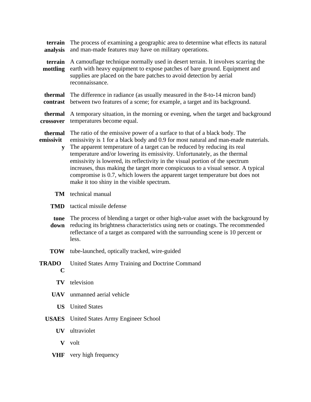| terrain<br>analysis       | The process of examining a geographic area to determine what effects its natural<br>and man-made features may have on military operations.                                                                                                                                                                                                                                                                                                                                                                                                                                                                                 |
|---------------------------|----------------------------------------------------------------------------------------------------------------------------------------------------------------------------------------------------------------------------------------------------------------------------------------------------------------------------------------------------------------------------------------------------------------------------------------------------------------------------------------------------------------------------------------------------------------------------------------------------------------------------|
| terrain<br>mottling       | A camouflage technique normally used in desert terrain. It involves scarring the<br>earth with heavy equipment to expose patches of bare ground. Equipment and<br>supplies are placed on the bare patches to avoid detection by aerial<br>reconnaissance.                                                                                                                                                                                                                                                                                                                                                                  |
| thermal<br>contrast       | The difference in radiance (as usually measured in the 8-to-14 micron band)<br>between two features of a scene; for example, a target and its background.                                                                                                                                                                                                                                                                                                                                                                                                                                                                  |
| thermal<br>crossover      | A temporary situation, in the morning or evening, when the target and background<br>temperatures become equal.                                                                                                                                                                                                                                                                                                                                                                                                                                                                                                             |
| thermal<br>emissivit<br>y | The ratio of the emissive power of a surface to that of a black body. The<br>emissivity is 1 for a black body and 0.9 for most natural and man-made materials.<br>The apparent temperature of a target can be reduced by reducing its real<br>temperature and/or lowering its emissivity. Unfortunately, as the thermal<br>emissivity is lowered, its reflectivity in the visual portion of the spectrum<br>increases, thus making the target more conspicuous to a visual sensor. A typical<br>compromise is 0.7, which lowers the apparent target temperature but does not<br>make it too shiny in the visible spectrum. |
|                           | <b>TM</b> technical manual                                                                                                                                                                                                                                                                                                                                                                                                                                                                                                                                                                                                 |
| TMD                       | tactical missile defense                                                                                                                                                                                                                                                                                                                                                                                                                                                                                                                                                                                                   |
| tone<br>down              | The process of blending a target or other high-value asset with the background by<br>reducing its brightness characteristics using nets or coatings. The recommended<br>reflectance of a target as compared with the surrounding scene is 10 percent or<br>less.                                                                                                                                                                                                                                                                                                                                                           |
| TOW                       | tube-launched, optically tracked, wire-guided                                                                                                                                                                                                                                                                                                                                                                                                                                                                                                                                                                              |
| $\mathbf C$               | <b>TRADO</b> United States Army Training and Doctrine Command                                                                                                                                                                                                                                                                                                                                                                                                                                                                                                                                                              |
| TV                        | television                                                                                                                                                                                                                                                                                                                                                                                                                                                                                                                                                                                                                 |
| <b>UAV</b>                | unmanned aerial vehicle                                                                                                                                                                                                                                                                                                                                                                                                                                                                                                                                                                                                    |
| <b>US</b>                 | <b>United States</b>                                                                                                                                                                                                                                                                                                                                                                                                                                                                                                                                                                                                       |
| <b>USAES</b>              | United States Army Engineer School                                                                                                                                                                                                                                                                                                                                                                                                                                                                                                                                                                                         |
| UV                        | ultraviolet                                                                                                                                                                                                                                                                                                                                                                                                                                                                                                                                                                                                                |
| $\bf V$                   | volt                                                                                                                                                                                                                                                                                                                                                                                                                                                                                                                                                                                                                       |
| <b>VHF</b>                | very high frequency                                                                                                                                                                                                                                                                                                                                                                                                                                                                                                                                                                                                        |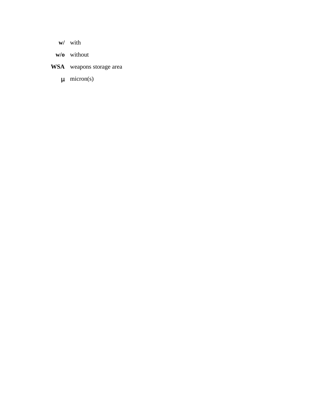- **w/** with
- **w/o** without
- **WSA** weapons storage area
	- $\mu$  micron(s)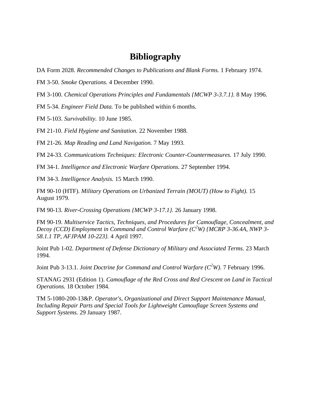## **Bibliography**

DA Form 2028. *Recommended Changes to Publications and Blank Forms.* 1 February 1974.

FM 3-50. *Smoke Operations.* 4 December 1990.

FM 3-100. *Chemical Operations Principles and Fundamentals {MCWP 3-3.7.1}.* 8 May 1996.

FM 5-34. *Engineer Field Data.* To be published within 6 months.

FM 5-103. *Survivability.* 10 June 1985.

FM 21-10. *Field Hygiene and Sanitation.* 22 November 1988.

FM 21-26. *Map Reading and Land Navigation.* 7 May 1993.

FM 24-33. *Communications Techniques: Electronic Counter-Countermeasures.* 17 July 1990.

FM 34-1. *Intelligence and Electronic Warfare Operations.* 27 September 1994.

FM 34-3. *Intelligence Analysis.* 15 March 1990.

FM 90-10 (HTF). *Military Operations on Urbanized Terrain (MOUT) (How to Fight).* 15 August 1979.

FM 90-13. *River-Crossing Operations {MCWP 3-17.1}.* 26 January 1998.

FM 90-19. *Multiservice Tactics, Techniques, and Procedures for Camouflage, Concealment, and Decoy (CCD) Employment in Command and Control Warfare (C<sup>2</sup>W) {MCRP 3-36.4A, NWP 3- 58.1.1 TP, AFJPAM 10-223}.* 4 April 1997.

Joint Pub 1-02. *Department of Defense Dictionary of Military and Associated Terms.* 23 March 1994.

Joint Pub 3-13.1. *Joint Doctrine for Command and Control Warfare (C<sup>2</sup>W).* 7 February 1996.

STANAG 2931 (Edition 1). *Camouflage of the Red Cross and Red Crescent on Land in Tactical Operations.* 18 October 1984.

TM 5-1080-200-13&P. *Operator's, Organizational and Direct Support Maintenance Manual, Including Repair Parts and Special Tools for Lightweight Camouflage Screen Systems and Support Systems.* 29 January 1987.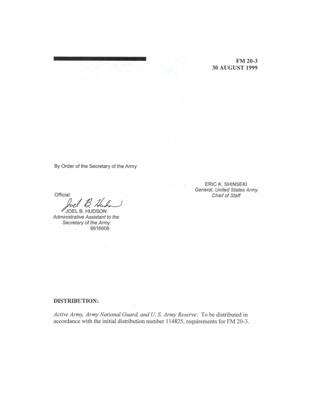FM 20-3 **30 AUGUST 1999** 

By Order of the Secretary of the Army:

Official:

Ø JOEL B. HUDSON Administrative Assistant to the Secretary of the Army 9916606

ERIC K. SHINSEKI General, United States Army Chief of Staff

#### **DISTRIBUTION:**

Active Army, Army National Guard, and U. S. Army Reserve: To be distributed in accordance with the initial distribution number 114825, requirements for FM 20-3.